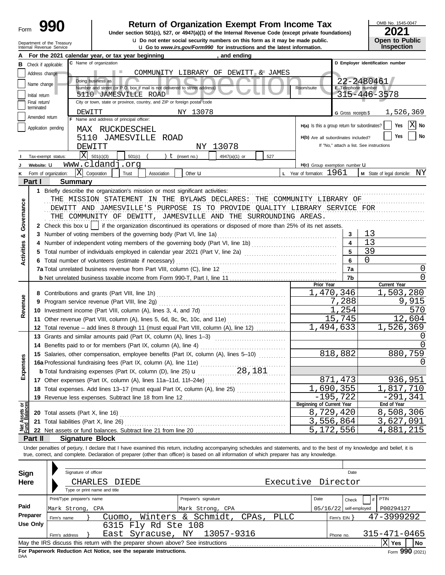| Form |  |
|------|--|
|      |  |

# **Return of Organization Exempt From Income Tax**

u **Do not enter social security numbers on this form as it may be made public. Open to Public Under section 501(c), 527, or 4947(a)(1) of the Internal Revenue Code (except private foundations)**

OMB No. 1545-0047

| ZUZ I |                       |
|-------|-----------------------|
|       | <b>Open to Public</b> |
|       | Inenostian            |

|                         | Department of the Treasury<br>Internal Revenue Service | er sooidi seedinty nambers on ans ronn as it may be made<br><b>u</b> Go to www.irs.gov/Form990 for instructions and the latest information.                                               |                         | JULI IV I UNIIV<br><b>Inspection</b>     |
|-------------------------|--------------------------------------------------------|-------------------------------------------------------------------------------------------------------------------------------------------------------------------------------------------|-------------------------|------------------------------------------|
|                         |                                                        | For the 2021 calendar year, or tax year beginning<br>, and ending                                                                                                                         |                         |                                          |
| в                       | Check if applicable:                                   | C Name of organization                                                                                                                                                                    |                         | D Employer identification number         |
|                         | Address change                                         | COMMUNITY LIBRARY OF DEWITT & JAMES                                                                                                                                                       |                         |                                          |
|                         | Name change                                            | Doing business as                                                                                                                                                                         |                         | 22-2480461                               |
|                         |                                                        | Number and street (or P.O. box if mail is not delivered to street address)<br>Room/suite                                                                                                  | E Telephone number      |                                          |
|                         | Initial return                                         | 5110 JAMESVILLE ROAD                                                                                                                                                                      |                         | 315-446-3578                             |
|                         | Final return/<br>terminated                            | City or town, state or province, country, and ZIP or foreign postal code                                                                                                                  |                         |                                          |
|                         |                                                        | NY 13078<br>DEWITT                                                                                                                                                                        | G Gross receipts \$     | 1,526,369                                |
|                         | Amended return                                         | F Name and address of principal officer:                                                                                                                                                  |                         | lΧl                                      |
|                         | Application pending                                    | H(a) Is this a group return for subordinates?<br>MAX RUCKDESCHEL                                                                                                                          |                         | Yes<br>No                                |
|                         |                                                        | H(b) Are all subordinates included?<br>5110 JAMESVILLE ROAD                                                                                                                               |                         | No<br>Yes                                |
|                         |                                                        | NY 13078<br>DEWITT                                                                                                                                                                        |                         | If "No," attach a list. See instructions |
|                         | Tax-exempt status:                                     | $ X $ 501(c)(3)<br>501(c)<br>) $t$ (insert no.)<br>4947(a)(1) or<br>527                                                                                                                   |                         |                                          |
|                         | Website: U                                             | www.cldandj.org<br>H(c) Group exemption number LI                                                                                                                                         |                         |                                          |
|                         | Form of organization:                                  | X<br><b>L</b> Year of formation: $1961$<br>Corporation<br>Association<br>Other <b>u</b><br>Trust                                                                                          |                         | M State of legal domicile: NY            |
|                         | Part I                                                 | <b>Summary</b>                                                                                                                                                                            |                         |                                          |
|                         |                                                        | 1 Briefly describe the organization's mission or most significant activities:                                                                                                             |                         |                                          |
|                         |                                                        | THE MISSION STATEMENT IN THE BYLAWS DECLARES: THE COMMUNITY LIBRARY OF                                                                                                                    |                         |                                          |
|                         |                                                        | DEWITT AND JAMESVILLE'S PURPOSE IS TO PROVIDE QUALITY LIBRARY SERVICE FOR                                                                                                                 |                         |                                          |
|                         |                                                        |                                                                                                                                                                                           |                         |                                          |
| Governance              |                                                        | THE COMMUNITY OF DEWITT, JAMESVILLE AND THE SURROUNDING AREAS.                                                                                                                            |                         |                                          |
|                         |                                                        | 2 Check this box <b>u</b>   if the organization discontinued its operations or disposed of more than 25% of its net assets.                                                               |                         |                                          |
| ಯ                       |                                                        | 3 Number of voting members of the governing body (Part VI, line 1a)                                                                                                                       | 3                       | 13                                       |
|                         |                                                        |                                                                                                                                                                                           | $\overline{\mathbf{4}}$ | 13                                       |
| Activities              |                                                        | 5 Total number of individuals employed in calendar year 2021 (Part V, line 2a) [11] [11] [11] [11] [11] [11] Total number of individuals employed in calendar year 2021 (Part V, line 2a) | 5                       | 39                                       |
|                         |                                                        | 6 Total number of volunteers (estimate if necessary)                                                                                                                                      | 6                       | $\Omega$                                 |
|                         |                                                        |                                                                                                                                                                                           | 7a                      | O                                        |
|                         |                                                        |                                                                                                                                                                                           | 7b                      | O                                        |
|                         |                                                        | Prior Year                                                                                                                                                                                |                         | Current Year                             |
|                         |                                                        | 1,470,346                                                                                                                                                                                 |                         | 1,503,280                                |
| Revenue                 |                                                        | 9 Program service revenue (Part VIII, line 2g)                                                                                                                                            | 7,288                   | 9,915                                    |
|                         |                                                        |                                                                                                                                                                                           | 1,254                   | 570                                      |
|                         |                                                        | 11 Other revenue (Part VIII, column (A), lines 5, 6d, 8c, 9c, 10c, and 11e)                                                                                                               | 15,745                  | 12,604                                   |
|                         |                                                        | 1,494,633<br>12 Total revenue - add lines 8 through 11 (must equal Part VIII, column (A), line 12)                                                                                        |                         | 1,526,369                                |
|                         |                                                        | 13 Grants and similar amounts paid (Part IX, column (A), lines 1-3)                                                                                                                       |                         |                                          |
|                         |                                                        | 14 Benefits paid to or for members (Part IX, column (A), line 4)                                                                                                                          |                         |                                          |
|                         |                                                        | 15 Salaries, other compensation, employee benefits (Part IX, column (A), lines 5-10)                                                                                                      | 818,882                 | 880,759                                  |
| nses                    |                                                        |                                                                                                                                                                                           |                         | 0                                        |
| Expe                    |                                                        | 28,181<br><b>b</b> Total fundraising expenses (Part IX, column (D), line 25) <b>u</b>                                                                                                     |                         |                                          |
|                         |                                                        |                                                                                                                                                                                           | 871,473                 | 936,951                                  |
|                         |                                                        | 1,690,355<br>18 Total expenses. Add lines 13-17 (must equal Part IX, column (A), line 25) [                                                                                               |                         | 1,817,710                                |
|                         |                                                        | $-195,722$                                                                                                                                                                                |                         | $-291,341$                               |
|                         |                                                        | Beginning of Current Year                                                                                                                                                                 |                         | End of Year                              |
| Assets or<br>d Balances |                                                        | 8,729,420                                                                                                                                                                                 |                         | 8,508,306                                |
|                         |                                                        | 3,556,864                                                                                                                                                                                 |                         | 3,627,091                                |
|                         |                                                        | 5,172,556                                                                                                                                                                                 |                         | 4,881,215                                |
|                         | Part II                                                | <b>Signature Block</b>                                                                                                                                                                    |                         |                                          |
|                         |                                                        | Under penalties of perjury, I declare that I have examined this return, including accompanying schedules and statements, and to the best of my knowledge and belief, it is                |                         |                                          |
|                         |                                                        | true, correct, and complete. Declaration of preparer (other than officer) is based on all information of which preparer has any knowledge.                                                |                         |                                          |
|                         |                                                        |                                                                                                                                                                                           |                         |                                          |
| Sign                    |                                                        | Signature of officer                                                                                                                                                                      | Date                    |                                          |
| Here                    |                                                        | Executive Director<br>CHARLES<br>DIEDE                                                                                                                                                    |                         |                                          |
|                         |                                                        | Type or print name and title                                                                                                                                                              |                         |                                          |
|                         |                                                        | Print/Type preparer's name<br>Preparer's signature<br>Date                                                                                                                                | Check                   | PTIN                                     |
| Paid                    |                                                        | Mark Strong, CPA<br>05/16/22                                                                                                                                                              | self-employed           | P00294127                                |
|                         | Preparer                                               | Mark Strong, CPA<br>Winters & Schmidt,<br><b>PLLC</b><br>CPAs,<br>Cuomo ,                                                                                                                 |                         | 47-3999292                               |
|                         | Firm's name<br><b>Use Only</b>                         | 6315 Fly Rd Ste 108                                                                                                                                                                       | Firm's $EIN$ }          |                                          |
|                         |                                                        |                                                                                                                                                                                           |                         | 315-471-0465                             |
|                         | Firm's address                                         | East Syracuse, NY 13057-9316                                                                                                                                                              | Phone no.               |                                          |
|                         |                                                        | May the IRS discuss this return with the preparer shown above? See instructions                                                                                                           |                         | $X$ Yes<br>No                            |

| Sign     |                                                                                              | Signature of officer                               |                              |                                                                    |  |                          |  |                    |      |              | Date                     |              |                                   |
|----------|----------------------------------------------------------------------------------------------|----------------------------------------------------|------------------------------|--------------------------------------------------------------------|--|--------------------------|--|--------------------|------|--------------|--------------------------|--------------|-----------------------------------|
| Here     |                                                                                              | CHARLES                                            | DIEDE                        |                                                                    |  |                          |  | Executive Director |      |              |                          |              |                                   |
|          |                                                                                              |                                                    | Type or print name and title |                                                                    |  |                          |  |                    |      |              |                          |              |                                   |
|          |                                                                                              | Print/Type preparer's name<br>Preparer's signature |                              |                                                                    |  |                          |  |                    | Date |              | Check                    | PTIN         |                                   |
| Paid     | Mark Strong, CPA                                                                             |                                                    |                              |                                                                    |  | Mark Strong, CPA         |  |                    |      |              | $05/16/22$ self-employed | P00294127    |                                   |
| Preparer | Firm's name                                                                                  |                                                    | Cuomo .                      |                                                                    |  | Winters & Schmidt, CPAs, |  | PLLC               |      | Firm's $EIN$ |                          | 47-3999292   |                                   |
| Use Only |                                                                                              |                                                    |                              | 6315 Fly Rd Ste 108                                                |  |                          |  |                    |      |              |                          |              |                                   |
|          | Firm's address                                                                               |                                                    |                              | East Syracuse, NY                                                  |  | 13057-9316               |  |                    |      | Phone no.    |                          | 315-471-0465 |                                   |
|          | May the IRS discuss this return with the preparer shown above? See instructions<br>No<br>Yes |                                                    |                              |                                                                    |  |                          |  |                    |      |              |                          |              |                                   |
|          |                                                                                              |                                                    |                              | Ear Donoruark Reduction, Act Notice, can the conorate instructions |  |                          |  |                    |      |              |                          |              | $\overline{a}$ 000 $\overline{a}$ |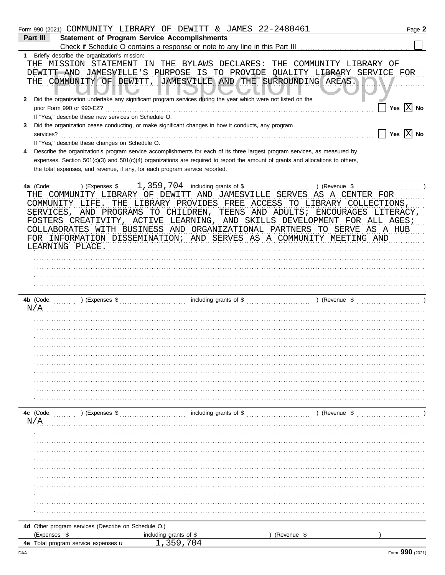|    | Form 990 (2021) COMMUNITY LIBRARY OF DEWITT & JAMES 22-2480461                                                                     | Page 2       |
|----|------------------------------------------------------------------------------------------------------------------------------------|--------------|
|    | <b>Statement of Program Service Accomplishments</b><br>Part III                                                                    |              |
|    |                                                                                                                                    |              |
| 1. | Briefly describe the organization's mission:                                                                                       |              |
|    | THE MISSION STATEMENT<br>IN THE BYLAWS DECLARES:<br>THE COMMUNITY LIBRARY OF                                                       |              |
|    | DEWITT AND JAMESVILLE'S PURPOSE IS TO PROVIDE QUALITY LIBRARY SERVICE FOR                                                          |              |
|    | THE COMMUNITY OF DEWITT,<br>JAMESVILLE AND THE SURROUNDING AREAS.                                                                  | .            |
|    | $\blacksquare$                                                                                                                     |              |
| 2  | Did the organization undertake any significant program services during the year which were not listed on the                       |              |
|    | prior Form 990 or 990-EZ?                                                                                                          | Yes $ X $ No |
|    | If "Yes," describe these new services on Schedule O.                                                                               |              |
| 3. | Did the organization cease conducting, or make significant changes in how it conducts, any program                                 |              |
|    | $\Box$ Yes $\boxed{\mathrm{X}}$ No<br>services?                                                                                    |              |
|    |                                                                                                                                    |              |
|    | If "Yes," describe these changes on Schedule O.                                                                                    |              |
| 4  | Describe the organization's program service accomplishments for each of its three largest program services, as measured by         |              |
|    | expenses. Section $501(c)(3)$ and $501(c)(4)$ organizations are required to report the amount of grants and allocations to others, |              |
|    | the total expenses, and revenue, if any, for each program service reported.                                                        |              |
|    |                                                                                                                                    |              |
|    | $1,359,704$ including grants of \$<br>) (Revenue \$<br>4a (Code:<br>) (Expenses \$                                                 |              |
|    | THE COMMUNITY LIBRARY OF DEWITT AND JAMESVILLE SERVES AS A CENTER FOR                                                              |              |
|    | LIBRARY PROVIDES FREE ACCESS TO LIBRARY COLLECTIONS,<br>COMMUNITY LIFE.<br>THE                                                     |              |
|    | SERVICES, AND PROGRAMS TO CHILDREN,<br>TEENS AND ADULTS; ENCOURAGES LITERACY,                                                      |              |
|    | FOSTERS CREATIVITY, ACTIVE LEARNING, AND SKILLS DEVELOPMENT FOR ALL AGES;                                                          |              |
|    | COLLABORATES WITH BUSINESS AND ORGANIZATIONAL PARTNERS TO SERVE AS A HUB                                                           |              |
|    | FOR INFORMATION DISSEMINATION; AND SERVES AS A COMMUNITY MEETING AND                                                               |              |
|    | LEARNING PLACE.                                                                                                                    |              |
|    |                                                                                                                                    |              |
|    |                                                                                                                                    |              |
|    |                                                                                                                                    |              |
|    |                                                                                                                                    |              |
|    |                                                                                                                                    |              |
|    |                                                                                                                                    |              |
|    |                                                                                                                                    |              |
|    | N/A                                                                                                                                |              |
|    |                                                                                                                                    |              |
|    |                                                                                                                                    |              |
|    |                                                                                                                                    |              |
|    |                                                                                                                                    |              |
|    |                                                                                                                                    |              |
|    |                                                                                                                                    |              |
|    |                                                                                                                                    |              |
|    |                                                                                                                                    |              |
|    |                                                                                                                                    |              |
|    |                                                                                                                                    |              |
|    |                                                                                                                                    |              |
|    |                                                                                                                                    |              |
|    | N/A                                                                                                                                |              |
|    |                                                                                                                                    |              |
|    |                                                                                                                                    |              |
|    |                                                                                                                                    |              |
|    |                                                                                                                                    |              |
|    |                                                                                                                                    |              |
|    |                                                                                                                                    |              |
|    |                                                                                                                                    |              |
|    |                                                                                                                                    |              |
|    |                                                                                                                                    |              |
|    |                                                                                                                                    |              |
|    |                                                                                                                                    |              |
|    |                                                                                                                                    |              |
|    | 4d Other program services (Describe on Schedule O.)                                                                                |              |
|    | (Expenses \$<br>) (Revenue \$<br>including grants of \$                                                                            |              |
|    | 359.704<br>4e Total program service expenses u                                                                                     |              |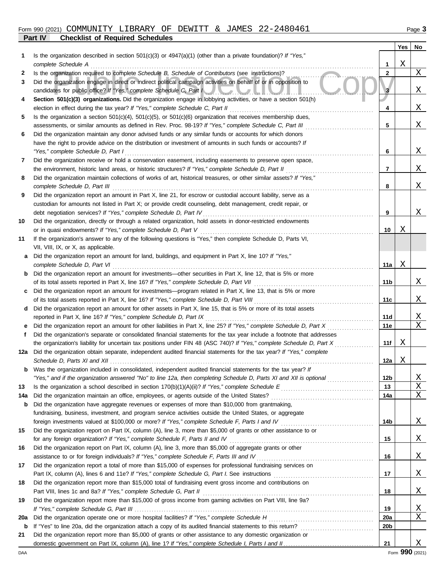## **Part IV Checklist of Required Schedules** Form 990 (2021) COMMUNITY LIBRARY OF DEWITT & JAMES 22-2480461 Page 3

|--|--|

|     |                                                                                                                                                                                                                                 |                 | Yes | No                    |
|-----|---------------------------------------------------------------------------------------------------------------------------------------------------------------------------------------------------------------------------------|-----------------|-----|-----------------------|
| 1   | Is the organization described in section $501(c)(3)$ or $4947(a)(1)$ (other than a private foundation)? If "Yes,"                                                                                                               |                 |     |                       |
|     | complete Schedule A                                                                                                                                                                                                             | 1               | Χ   |                       |
| 2   | Is the organization required to complete Schedule B, Schedule of Contributors (see instructions)?                                                                                                                               | $\mathbf{2}$    |     | X                     |
| 3   | Did the organization engage in direct or indirect political campaign activities on behalf of or in opposition to                                                                                                                |                 |     |                       |
|     | candidates for public office? If "Yes," complete Schedule C, Part I                                                                                                                                                             | 3               |     | Χ                     |
| 4   | Section 501(c)(3) organizations. Did the organization engage in lobbying activities, or have a section 501(h)                                                                                                                   |                 |     |                       |
|     | election in effect during the tax year? If "Yes," complete Schedule C, Part II                                                                                                                                                  | 4               |     | X                     |
| 5   | Is the organization a section $501(c)(4)$ , $501(c)(5)$ , or $501(c)(6)$ organization that receives membership dues,                                                                                                            |                 |     |                       |
|     | assessments, or similar amounts as defined in Rev. Proc. 98-19? If "Yes," complete Schedule C, Part III                                                                                                                         | 5               |     | Χ                     |
| 6   | Did the organization maintain any donor advised funds or any similar funds or accounts for which donors                                                                                                                         |                 |     |                       |
|     | have the right to provide advice on the distribution or investment of amounts in such funds or accounts? If                                                                                                                     |                 |     |                       |
|     | "Yes," complete Schedule D, Part I                                                                                                                                                                                              | 6               |     | Χ                     |
| 7   | Did the organization receive or hold a conservation easement, including easements to preserve open space,                                                                                                                       |                 |     |                       |
|     | the environment, historic land areas, or historic structures? If "Yes," complete Schedule D, Part II                                                                                                                            | 7               |     | X                     |
| 8   | Did the organization maintain collections of works of art, historical treasures, or other similar assets? If "Yes,"                                                                                                             |                 |     |                       |
|     | complete Schedule D, Part III                                                                                                                                                                                                   | 8               |     | Χ                     |
| 9   | Did the organization report an amount in Part X, line 21, for escrow or custodial account liability, serve as a                                                                                                                 |                 |     |                       |
|     | custodian for amounts not listed in Part X; or provide credit counseling, debt management, credit repair, or                                                                                                                    | 9               |     | Χ                     |
| 10  | debt negotiation services? If "Yes," complete Schedule D, Part IV<br>Did the organization, directly or through a related organization, hold assets in donor-restricted endowments                                               |                 |     |                       |
|     | or in quasi endowments? If "Yes," complete Schedule D, Part V                                                                                                                                                                   | 10              | Χ   |                       |
| 11  | If the organization's answer to any of the following questions is "Yes," then complete Schedule D, Parts VI,                                                                                                                    |                 |     |                       |
|     | VII, VIII, IX, or X, as applicable.                                                                                                                                                                                             |                 |     |                       |
| a   | Did the organization report an amount for land, buildings, and equipment in Part X, line 10? If "Yes,"                                                                                                                          |                 |     |                       |
|     | complete Schedule D, Part VI                                                                                                                                                                                                    | 11a             | Χ   |                       |
| b   | Did the organization report an amount for investments—other securities in Part X, line 12, that is 5% or more                                                                                                                   |                 |     |                       |
|     | of its total assets reported in Part X, line 16? If "Yes," complete Schedule D, Part VII                                                                                                                                        | 11b             |     | Χ                     |
| c   | Did the organization report an amount for investments—program related in Part X, line 13, that is 5% or more                                                                                                                    |                 |     |                       |
|     | of its total assets reported in Part X, line 16? If "Yes," complete Schedule D, Part VIII                                                                                                                                       | 11c             |     | Χ                     |
| d   | Did the organization report an amount for other assets in Part X, line 15, that is 5% or more of its total assets                                                                                                               |                 |     |                       |
|     | reported in Part X, line 16? If "Yes," complete Schedule D, Part IX                                                                                                                                                             | 11d             |     | X                     |
| е   | Did the organization report an amount for other liabilities in Part X, line 25? If "Yes," complete Schedule D, Part X                                                                                                           | 11e             |     | X                     |
| f   | Did the organization's separate or consolidated financial statements for the tax year include a footnote that addresses                                                                                                         |                 |     |                       |
|     | the organization's liability for uncertain tax positions under FIN 48 (ASC 740)? If "Yes," complete Schedule D, Part X                                                                                                          | 11f             | Χ   |                       |
|     | 12a Did the organization obtain separate, independent audited financial statements for the tax year? If "Yes," complete                                                                                                         |                 |     |                       |
|     | Schedule D, Parts XI and XII $\ldots$ $\ldots$ $\ldots$ $\ldots$ $\ldots$ $\ldots$ $\ldots$                                                                                                                                     | 12a             | Χ   |                       |
|     | Was the organization included in consolidated, independent audited financial statements for the tax year? If                                                                                                                    |                 |     |                       |
|     | "Yes," and if the organization answered "No" to line 12a, then completing Schedule D, Parts XI and XII is optional                                                                                                              | 12 <sub>b</sub> |     | <u>X</u>              |
| 13  |                                                                                                                                                                                                                                 | 13              |     | $\overline{\text{X}}$ |
| 14a |                                                                                                                                                                                                                                 | 14a             |     | X                     |
| b   | Did the organization have aggregate revenues or expenses of more than \$10,000 from grantmaking,                                                                                                                                |                 |     |                       |
|     | fundraising, business, investment, and program service activities outside the United States, or aggregate                                                                                                                       |                 |     |                       |
|     |                                                                                                                                                                                                                                 | 14b             |     | <u>X</u>              |
| 15  | Did the organization report on Part IX, column (A), line 3, more than \$5,000 of grants or other assistance to or                                                                                                               |                 |     |                       |
|     | Did the organization report on Part IX, column (A), line 3, more than \$5,000 of aggregate grants or other                                                                                                                      | 15              |     | <u>X</u>              |
| 16  |                                                                                                                                                                                                                                 |                 |     |                       |
| 17  | assistance to or for foreign individuals? If "Yes," complete Schedule F, Parts III and IV [[[[[[[[[[[[[[[[[[[<br>Did the organization report a total of more than \$15,000 of expenses for professional fundraising services on | 16              |     | <u>X</u>              |
|     |                                                                                                                                                                                                                                 | 17              |     | <u>X</u>              |
| 18  | Did the organization report more than \$15,000 total of fundraising event gross income and contributions on                                                                                                                     |                 |     |                       |
|     |                                                                                                                                                                                                                                 | 18              |     | <u>X</u>              |
| 19  | Did the organization report more than \$15,000 of gross income from gaming activities on Part VIII, line 9a?                                                                                                                    |                 |     |                       |
|     |                                                                                                                                                                                                                                 | 19              |     | <u>X</u>              |
| 20a |                                                                                                                                                                                                                                 | 20a             |     | X                     |
| b   |                                                                                                                                                                                                                                 | 20b             |     |                       |
| 21  | Did the organization report more than \$5,000 of grants or other assistance to any domestic organization or                                                                                                                     |                 |     |                       |
|     |                                                                                                                                                                                                                                 | 21              |     | Χ                     |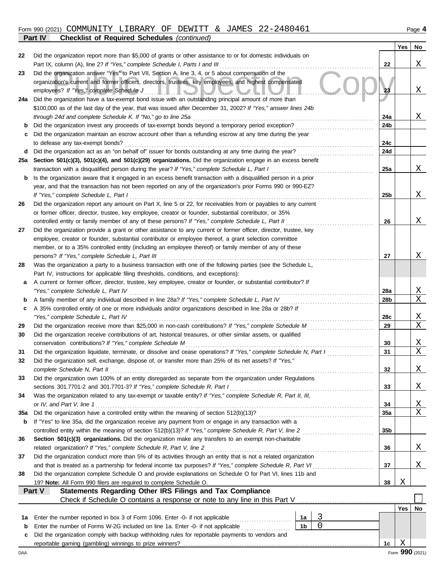## Form 990 (2021) COMMUNITY LIBRARY OF DEWITT & JAMES 22-2480461 Page 4 **Part IV Checklist of Required Schedules** *(continued)*

|          |                                                                                                                                                                                                                         |                 | Yes     | No                |
|----------|-------------------------------------------------------------------------------------------------------------------------------------------------------------------------------------------------------------------------|-----------------|---------|-------------------|
| 22       | Did the organization report more than \$5,000 of grants or other assistance to or for domestic individuals on                                                                                                           |                 |         |                   |
|          |                                                                                                                                                                                                                         | 22              |         | Χ                 |
| 23       | Did the organization answer "Yes" to Part VII, Section A, line 3, 4, or 5 about compensation of the                                                                                                                     |                 |         |                   |
|          | organization's current and former officers, directors, trustees, key employees, and highest compensated                                                                                                                 |                 |         |                   |
|          |                                                                                                                                                                                                                         | 23              |         | Χ                 |
| 24a      | Did the organization have a tax-exempt bond issue with an outstanding principal amount of more than<br>\$100,000 as of the last day of the year, that was issued after December 31, 2002? If "Yes," answer lines 24b    |                 |         |                   |
|          |                                                                                                                                                                                                                         | 24a             |         | Χ                 |
| b        | Did the organization invest any proceeds of tax-exempt bonds beyond a temporary period exception?                                                                                                                       | 24b             |         |                   |
| c        | Did the organization maintain an escrow account other than a refunding escrow at any time during the year                                                                                                               |                 |         |                   |
|          | to defease any tax-exempt bonds?                                                                                                                                                                                        | 24c             |         |                   |
| d        | Did the organization act as an "on behalf of" issuer for bonds outstanding at any time during the year?                                                                                                                 | 24d             |         |                   |
| 25a      | Section 501(c)(3), 501(c)(4), and 501(c)(29) organizations. Did the organization engage in an excess benefit                                                                                                            |                 |         |                   |
|          | transaction with a disqualified person during the year? If "Yes," complete Schedule L, Part I [ [ [ [ ] ] [ ]                                                                                                           | 25a             |         | Χ                 |
| b        | Is the organization aware that it engaged in an excess benefit transaction with a disqualified person in a prior                                                                                                        |                 |         |                   |
|          | year, and that the transaction has not been reported on any of the organization's prior Forms 990 or 990-EZ?                                                                                                            |                 |         |                   |
|          |                                                                                                                                                                                                                         | 25b             |         | Χ                 |
| 26       | Did the organization report any amount on Part X, line 5 or 22, for receivables from or payables to any current                                                                                                         |                 |         |                   |
|          | or former officer, director, trustee, key employee, creator or founder, substantial contributor, or 35%                                                                                                                 |                 |         | Χ                 |
| 27       | controlled entity or family member of any of these persons? If "Yes," complete Schedule L, Part II<br>Did the organization provide a grant or other assistance to any current or former officer, director, trustee, key | 26              |         |                   |
|          | employee, creator or founder, substantial contributor or employee thereof, a grant selection committee                                                                                                                  |                 |         |                   |
|          | member, or to a 35% controlled entity (including an employee thereof) or family member of any of these                                                                                                                  |                 |         |                   |
|          |                                                                                                                                                                                                                         | 27              |         | Χ                 |
| 28       | Was the organization a party to a business transaction with one of the following parties (see the Schedule L,                                                                                                           |                 |         |                   |
|          | Part IV, instructions for applicable filing thresholds, conditions, and exceptions):                                                                                                                                    |                 |         |                   |
| a        | A current or former officer, director, trustee, key employee, creator or founder, or substantial contributor? If                                                                                                        |                 |         |                   |
|          |                                                                                                                                                                                                                         | 28a             |         | Χ                 |
| b        |                                                                                                                                                                                                                         | 28b             |         | Χ                 |
| c        | A 35% controlled entity of one or more individuals and/or organizations described in line 28a or 28b? If                                                                                                                |                 |         |                   |
|          |                                                                                                                                                                                                                         | 28c             |         | $\mathbf{X}$<br>X |
| 29<br>30 | Did the organization receive contributions of art, historical treasures, or other similar assets, or qualified                                                                                                          | 29              |         |                   |
|          |                                                                                                                                                                                                                         | 30              |         | Χ                 |
| 31       | Did the organization liquidate, terminate, or dissolve and cease operations? If "Yes," complete Schedule N, Part I                                                                                                      | 31              |         | Χ                 |
| 32       | Did the organization sell, exchange, dispose of, or transfer more than 25% of its net assets? If "Yes,"                                                                                                                 |                 |         |                   |
|          | complete Schedule N, Part II                                                                                                                                                                                            | 32              |         | Χ                 |
| 33       | Did the organization own 100% of an entity disregarded as separate from the organization under Regulations                                                                                                              |                 |         |                   |
|          | sections 301.7701-2 and 301.7701-3? If "Yes," complete Schedule R, Part I                                                                                                                                               | 33              |         | Χ                 |
| 34       | Was the organization related to any tax-exempt or taxable entity? If "Yes," complete Schedule R, Part II, III,                                                                                                          |                 |         |                   |
|          | or IV, and Part V, line 1                                                                                                                                                                                               | 34              |         | <u>X</u>          |
| 35a      |                                                                                                                                                                                                                         | 35a             |         | Χ                 |
| b        | If "Yes" to line 35a, did the organization receive any payment from or engage in any transaction with a                                                                                                                 |                 |         |                   |
|          |                                                                                                                                                                                                                         | 35 <sub>b</sub> |         |                   |
| 36       | Section 501(c)(3) organizations. Did the organization make any transfers to an exempt non-charitable<br>related organization? If "Yes," complete Schedule R, Part V, line 2                                             | 36              |         | Χ                 |
| 37       | Did the organization conduct more than 5% of its activities through an entity that is not a related organization                                                                                                        |                 |         |                   |
|          |                                                                                                                                                                                                                         | 37              |         | Χ                 |
| 38       | Did the organization complete Schedule O and provide explanations on Schedule O for Part VI, lines 11b and                                                                                                              |                 |         |                   |
|          | 19? Note: All Form 990 filers are required to complete Schedule O.                                                                                                                                                      | 38              | Χ       |                   |
|          | Part V<br><b>Statements Regarding Other IRS Filings and Tax Compliance</b>                                                                                                                                              |                 |         |                   |
|          |                                                                                                                                                                                                                         |                 |         |                   |
|          |                                                                                                                                                                                                                         |                 | Yes $ $ | No                |
| 1а       | 3<br>Enter the number reported in box 3 of Form 1096. Enter -0- if not applicable<br>1a                                                                                                                                 |                 |         |                   |
| b        | $\mathbf 0$<br>1 <sub>b</sub><br>Enter the number of Forms W-2G included on line 1a. Enter -0- if not applicable                                                                                                        |                 |         |                   |
| c        | Did the organization comply with backup withholding rules for reportable payments to vendors and                                                                                                                        | 1c              | Χ       |                   |
| DAA      |                                                                                                                                                                                                                         |                 |         | Form 990 (2021)   |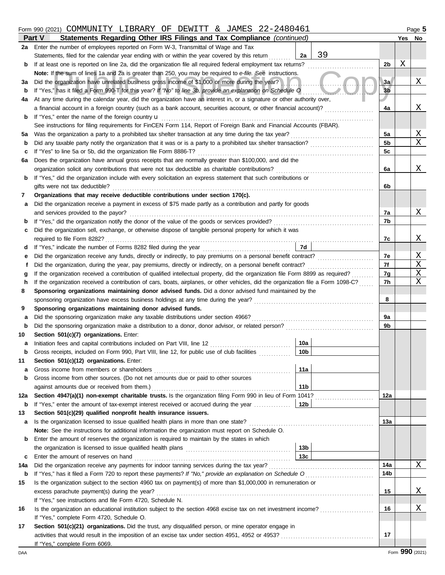## Form 990 (2021) COMMUNITY LIBRARY OF DEWITT & JAMES 22-2480461 Page 5

|          | Part V<br>Statements Regarding Other IRS Filings and Tax Compliance (continued)                                                                                  |                | Yes | No                      |  |  |
|----------|------------------------------------------------------------------------------------------------------------------------------------------------------------------|----------------|-----|-------------------------|--|--|
| 2a       | Enter the number of employees reported on Form W-3, Transmittal of Wage and Tax                                                                                  |                |     |                         |  |  |
|          | 39<br>Statements, filed for the calendar year ending with or within the year covered by this return<br>2a                                                        |                |     |                         |  |  |
| b        | If at least one is reported on line 2a, did the organization file all required federal employment tax returns?                                                   | 2 <sub>b</sub> | Χ   |                         |  |  |
|          | Note: If the sum of lines 1a and 2a is greater than 250, you may be required to e-file. See instructions.                                                        |                |     |                         |  |  |
| За       | Did the organization have unrelated business gross income of \$1,000 or more during the year?                                                                    | 3a             |     | X                       |  |  |
| b        | If "Yes," has it filed a Form 990-T for this year? If "No" to line 3b, provide an explanation on Schedule O                                                      | 3 <sub>b</sub> |     |                         |  |  |
| 4a       | At any time during the calendar year, did the organization have an interest in, or a signature or other authority over,                                          |                |     |                         |  |  |
|          | a financial account in a foreign country (such as a bank account, securities account, or other financial account)?                                               | 4a             |     | Χ                       |  |  |
| b        | If "Yes," enter the name of the foreign country <b>u</b>                                                                                                         |                |     |                         |  |  |
|          | See instructions for filing requirements for FinCEN Form 114, Report of Foreign Bank and Financial Accounts (FBAR).                                              |                |     |                         |  |  |
| 5a       |                                                                                                                                                                  | 5a             |     | $\overline{\mathbf{X}}$ |  |  |
| b        |                                                                                                                                                                  | 5 <sub>b</sub> |     | X                       |  |  |
| c        | If "Yes" to line 5a or 5b, did the organization file Form 8886-T?                                                                                                | 5 <sub>c</sub> |     |                         |  |  |
| 6а       | Does the organization have annual gross receipts that are normally greater than \$100,000, and did the                                                           |                |     |                         |  |  |
|          |                                                                                                                                                                  | 6a             |     | Χ                       |  |  |
| b        | If "Yes," did the organization include with every solicitation an express statement that such contributions or                                                   |                |     |                         |  |  |
|          | gifts were not tax deductible?<br>Organizations that may receive deductible contributions under section 170(c).                                                  | 6b             |     |                         |  |  |
| 7        |                                                                                                                                                                  |                |     |                         |  |  |
| а        | Did the organization receive a payment in excess of \$75 made partly as a contribution and partly for goods<br>and services provided to the payor?               | 7a             |     | X                       |  |  |
| b        |                                                                                                                                                                  | 7b             |     |                         |  |  |
| c        | Did the organization sell, exchange, or otherwise dispose of tangible personal property for which it was                                                         |                |     |                         |  |  |
|          | required to file Form 8282?                                                                                                                                      | 7c             |     | Χ                       |  |  |
| d        | 7d                                                                                                                                                               |                |     |                         |  |  |
|          | Did the organization receive any funds, directly or indirectly, to pay premiums on a personal benefit contract?                                                  | 7e             |     | $\overline{\mathrm{X}}$ |  |  |
| Ť        |                                                                                                                                                                  | 7f             |     | Χ                       |  |  |
|          | If the organization received a contribution of qualified intellectual property, did the organization file Form 8899 as required?                                 | 7g             |     | $\mathbf X$             |  |  |
| h        | If the organization received a contribution of cars, boats, airplanes, or other vehicles, did the organization file a Form 1098-C?                               | 7h             |     | Χ                       |  |  |
| 8        | Sponsoring organizations maintaining donor advised funds. Did a donor advised fund maintained by the                                                             |                |     |                         |  |  |
|          |                                                                                                                                                                  | 8              |     |                         |  |  |
| 9        | Sponsoring organizations maintaining donor advised funds.                                                                                                        |                |     |                         |  |  |
| а        |                                                                                                                                                                  | 9а             |     |                         |  |  |
| b        |                                                                                                                                                                  | 9b             |     |                         |  |  |
| 10       | Section 501(c)(7) organizations. Enter:                                                                                                                          |                |     |                         |  |  |
| а        | 10a<br>Initiation fees and capital contributions included on Part VIII, line 12 [11][11][11][11][11][11][11][11][11][                                            |                |     |                         |  |  |
| b        | 10 <sub>b</sub><br>Gross receipts, included on Form 990, Part VIII, line 12, for public use of club facilities                                                   |                |     |                         |  |  |
| 11       | Section 501(c)(12) organizations. Enter:                                                                                                                         |                |     |                         |  |  |
| а        | Gross income from members or shareholders<br>11a                                                                                                                 |                |     |                         |  |  |
| b        | Gross income from other sources. (Do not net amounts due or paid to other sources                                                                                |                |     |                         |  |  |
|          | against amounts due or received from them.)<br>11b<br>Section 4947(a)(1) non-exempt charitable trusts. Is the organization filing Form 990 in lieu of Form 1041? |                |     |                         |  |  |
| 12a<br>b | If "Yes," enter the amount of tax-exempt interest received or accrued during the year<br>12b                                                                     | 12a            |     |                         |  |  |
| 13       | Section 501(c)(29) qualified nonprofit health insurance issuers.                                                                                                 |                |     |                         |  |  |
| a        |                                                                                                                                                                  | 13a            |     |                         |  |  |
|          | <b>Note:</b> See the instructions for additional information the organization must report on Schedule O.                                                         |                |     |                         |  |  |
| b        | Enter the amount of reserves the organization is required to maintain by the states in which                                                                     |                |     |                         |  |  |
|          | 13 <sub>b</sub>                                                                                                                                                  |                |     |                         |  |  |
| c        | 13 <sub>c</sub><br>Enter the amount of reserves on hand                                                                                                          |                |     |                         |  |  |
| 14a      |                                                                                                                                                                  | 14a            |     | Χ                       |  |  |
| b        |                                                                                                                                                                  | 14b            |     |                         |  |  |
| 15       | Is the organization subject to the section 4960 tax on payment(s) of more than \$1,000,000 in remuneration or                                                    |                |     |                         |  |  |
|          | excess parachute payment(s) during the year?                                                                                                                     | 15             |     | Χ                       |  |  |
|          | If "Yes," see instructions and file Form 4720, Schedule N.                                                                                                       |                |     |                         |  |  |
| 16       | Is the organization an educational institution subject to the section 4968 excise tax on net investment income?                                                  | 16             |     | X                       |  |  |
|          | If "Yes," complete Form 4720, Schedule O.                                                                                                                        |                |     |                         |  |  |
| 17       | Section 501(c)(21) organizations. Did the trust, any disqualified person, or mine operator engage in                                                             |                |     |                         |  |  |
|          |                                                                                                                                                                  | 17             |     |                         |  |  |
|          | If "Yes," complete Form 6069.                                                                                                                                    |                |     |                         |  |  |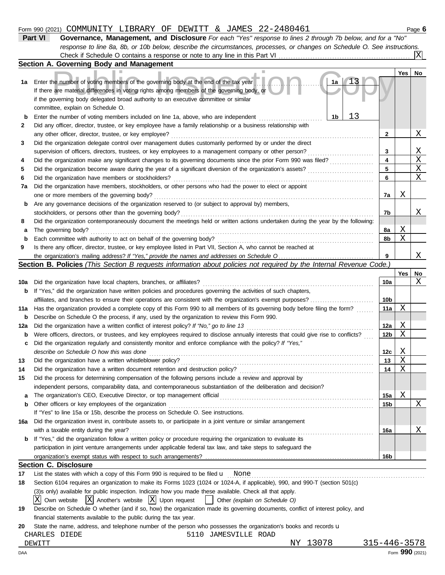## Form 990 (2021) COMMUNITY LIBRARY OF DEWITT & JAMES 22-2480461 Page **6**

| Part VI | Governance, Management, and Disclosure For each "Yes" response to lines 2 through 7b below, and for a "No"                |
|---------|---------------------------------------------------------------------------------------------------------------------------|
|         | response to line 8a, 8b, or 10b below, describe the circumstances, processes, or changes on Schedule O. See instructions. |
|         |                                                                                                                           |

|             | Section A. Governing Body and Management                                                                                                                                                                                |     |     |             |
|-------------|-------------------------------------------------------------------------------------------------------------------------------------------------------------------------------------------------------------------------|-----|-----|-------------|
|             |                                                                                                                                                                                                                         |     | Yes | No          |
| 1а          | Enter the number of voting members of the governing body at the end of the tax year<br>1a                                                                                                                               |     |     |             |
|             | If there are material differences in voting rights among members of the governing body, or                                                                                                                              |     |     |             |
|             | if the governing body delegated broad authority to an executive committee or similar                                                                                                                                    |     |     |             |
|             | committee, explain on Schedule O.                                                                                                                                                                                       |     |     |             |
| b           | 13<br>1b<br>Enter the number of voting members included on line 1a, above, who are independent                                                                                                                          |     |     |             |
| 2           | Did any officer, director, trustee, or key employee have a family relationship or a business relationship with                                                                                                          |     |     |             |
|             | any other officer, director, trustee, or key employee?                                                                                                                                                                  | 2   |     | Χ           |
| 3           | Did the organization delegate control over management duties customarily performed by or under the direct                                                                                                               |     |     |             |
|             | supervision of officers, directors, trustees, or key employees to a management company or other person?                                                                                                                 | 3   |     | <u>X</u>    |
| 4           | Did the organization make any significant changes to its governing documents since the prior Form 990 was filed?                                                                                                        | 4   |     | $\mathbf X$ |
| 5           | Did the organization become aware during the year of a significant diversion of the organization's assets?                                                                                                              | 5   |     | $\mathbf X$ |
| 6           | Did the organization have members or stockholders?                                                                                                                                                                      | 6   |     | $\mathbf X$ |
| 7a          | Did the organization have members, stockholders, or other persons who had the power to elect or appoint                                                                                                                 |     |     |             |
|             | one or more members of the governing body?                                                                                                                                                                              | 7а  | Χ   |             |
| b           | Are any governance decisions of the organization reserved to (or subject to approval by) members,                                                                                                                       |     |     |             |
|             | stockholders, or persons other than the governing body?                                                                                                                                                                 | 7b  |     | Χ           |
| 8           | Did the organization contemporaneously document the meetings held or written actions undertaken during the year by the following:                                                                                       |     |     |             |
| а           | The governing body?                                                                                                                                                                                                     | 8а  | Χ   |             |
| b           | Each committee with authority to act on behalf of the governing body?                                                                                                                                                   | 8b  | Χ   |             |
| 9           | Is there any officer, director, trustee, or key employee listed in Part VII, Section A, who cannot be reached at                                                                                                        |     |     |             |
|             |                                                                                                                                                                                                                         | 9   |     | Χ           |
|             | Section B. Policies (This Section B requests information about policies not required by the Internal Revenue Code.)                                                                                                     |     |     |             |
|             |                                                                                                                                                                                                                         |     | Yes | No          |
| 10a         | Did the organization have local chapters, branches, or affiliates?                                                                                                                                                      | 10a |     | Χ           |
| b           | If "Yes," did the organization have written policies and procedures governing the activities of such chapters,                                                                                                          |     |     |             |
|             | affiliates, and branches to ensure their operations are consistent with the organization's exempt purposes?                                                                                                             | 10b |     |             |
| 11a         | Has the organization provided a complete copy of this Form 990 to all members of its governing body before filing the form?                                                                                             | 11a | Χ   |             |
| $\mathbf b$ | Describe on Schedule O the process, if any, used by the organization to review this Form 990.                                                                                                                           |     |     |             |
| 12a         | Did the organization have a written conflict of interest policy? If "No," go to line 13                                                                                                                                 | 12a | Χ   |             |
| b           | Were officers, directors, or trustees, and key employees required to disclose annually interests that could give rise to conflicts?                                                                                     | 12b | Χ   |             |
| с           | Did the organization regularly and consistently monitor and enforce compliance with the policy? If "Yes,"                                                                                                               |     |     |             |
|             | describe on Schedule O how this was done                                                                                                                                                                                | 12c | Χ   |             |
| 13          | Did the organization have a written whistleblower policy?                                                                                                                                                               | 13  | Χ   |             |
| 14          | Did the organization have a written document retention and destruction policy?                                                                                                                                          | 14  | Χ   |             |
| 15          | Did the process for determining compensation of the following persons include a review and approval by<br>independent persons, comparability data, and contemporaneous substantiation of the deliberation and decision? |     |     |             |
|             |                                                                                                                                                                                                                         |     | Χ   |             |
| а           | Other officers or key employees of the organization                                                                                                                                                                     | 15a |     | Χ           |
| b           | If "Yes" to line 15a or 15b, describe the process on Schedule O. See instructions.                                                                                                                                      | 15b |     |             |
|             | Did the organization invest in, contribute assets to, or participate in a joint venture or similar arrangement                                                                                                          |     |     |             |
| 16a         | with a taxable entity during the year?                                                                                                                                                                                  |     |     | Χ           |
| b           | If "Yes," did the organization follow a written policy or procedure requiring the organization to evaluate its                                                                                                          | 16a |     |             |
|             | participation in joint venture arrangements under applicable federal tax law, and take steps to safeguard the                                                                                                           |     |     |             |
|             |                                                                                                                                                                                                                         | 16b |     |             |
|             | <b>Section C. Disclosure</b>                                                                                                                                                                                            |     |     |             |
| 17          | List the states with which a copy of this Form 990 is required to be filed $\mathbf u$ None                                                                                                                             |     |     |             |
| 18          | Section 6104 requires an organization to make its Forms 1023 (1024 or 1024-A, if applicable), 990, and 990-T (section 501(c)                                                                                            |     |     |             |
|             | (3)s only) available for public inspection. Indicate how you made these available. Check all that apply.                                                                                                                |     |     |             |
|             | Own website $ X $ Another's website $ X $ Upon request<br>ΧI<br>Other (explain on Schedule O)                                                                                                                           |     |     |             |
| 19          | Describe on Schedule O whether (and if so, how) the organization made its governing documents, conflict of interest policy, and                                                                                         |     |     |             |
|             |                                                                                                                                                                                                                         |     |     |             |

| financial statements available to the public during the tax year. |  |  |  |  |
|-------------------------------------------------------------------|--|--|--|--|
|                                                                   |  |  |  |  |

**20** State the name, address, and telephone number of the person who possesses the organization's books and records u

| CHARLES DIEDE |  | 5110 JAMESVILLE ROAD |  |
|---------------|--|----------------------|--|
|---------------|--|----------------------|--|

DEWITT NY 13078 315-446-3578<br>NY 13078 315-446-3578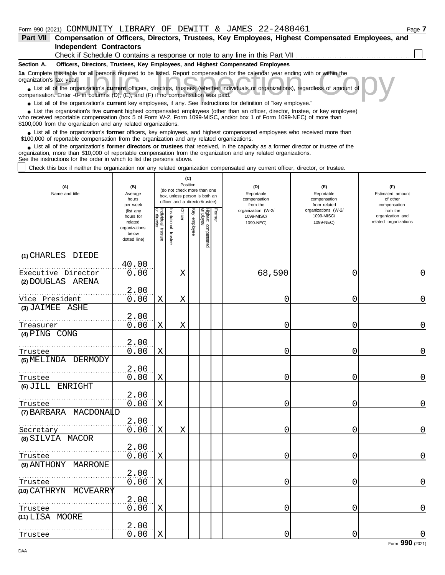| Part VII                 | Compensation of Officers, Directors, Trustees, Key Employees, Highest Compensated Employees, and                                                                                                                                                                                                                           |
|--------------------------|----------------------------------------------------------------------------------------------------------------------------------------------------------------------------------------------------------------------------------------------------------------------------------------------------------------------------|
|                          | <b>Independent Contractors</b>                                                                                                                                                                                                                                                                                             |
|                          | Check if Schedule O contains a response or note to any line in this Part VII                                                                                                                                                                                                                                               |
| Section A.               | Officers, Directors, Trustees, Key Employees, and Highest Compensated Employees                                                                                                                                                                                                                                            |
| organization's tax year. | 1a Complete this table for all persons required to be listed. Report compensation for the calendar year ending with or within the                                                                                                                                                                                          |
|                          | List all of the organization's current officers, directors, trustees (whether individuals or organizations), regardless of amount of<br>compensation. Enter -0- in columns (D), (E), and (F) if no compensation was paid.                                                                                                  |
|                          | • List all of the organization's current key employees, if any. See instructions for definition of "key employee."                                                                                                                                                                                                         |
|                          | • List the organization's five current highest compensated employees (other than an officer, director, trustee, or key employee)<br>who received reportable compensation (box 5 of Form W-2, Form 1099-MISC, and/or box 1 of Form 1099-NEC) of more than<br>\$100,000 from the organization and any related organizations. |

■ List all of the organization's **former** officers, key employees, and highest compensated employees who received more than<br>00,000 of reportable compensation from the organization and any related organizations \$100,000 of reportable compensation from the organization and any related organizations.

■ List all of the organization's **former directors or trustees** that received, in the capacity as a former director or trustee of the anization more than \$10,000 of reportable compensation from the organization and any re organization, more than \$10,000 of reportable compensation from the organization and any related organizations. See the instructions for the order in which to list the persons above.

Check this box if neither the organization nor any related organization compensated any current officer, director, or trustee.

| (A)<br>Name and title                   | (C)<br>Position<br>(B)<br>(do not check more than one<br>Average<br>box, unless person is both an<br>hours<br>officer and a director/trustee)<br>per week |                                 |                          |         |              |                                 |        | (D)<br>Reportable<br>compensation<br>from the | (E)<br>Reportable<br>compensation<br>from related | (F)<br>Estimated amount<br>of other<br>compensation   |
|-----------------------------------------|-----------------------------------------------------------------------------------------------------------------------------------------------------------|---------------------------------|--------------------------|---------|--------------|---------------------------------|--------|-----------------------------------------------|---------------------------------------------------|-------------------------------------------------------|
|                                         | (list any<br>hours for<br>related<br>organizations<br>below<br>dotted line)                                                                               | Individual<br>rector<br>trustee | Institutional<br>trustee | Officer | Key employee | Highest compensated<br>employee | Former | organization (W-2/<br>1099-MISC/<br>1099-NEC) | organizations (W-2/<br>1099-MISC/<br>1099-NEC)    | from the<br>organization and<br>related organizations |
| (1) CHARLES DIEDE<br>Executive Director | 40.00<br>0.00                                                                                                                                             |                                 |                          | X       |              |                                 |        | 68,590                                        | 0                                                 | 0                                                     |
| (2) DOUGLAS ARENA                       |                                                                                                                                                           |                                 |                          |         |              |                                 |        |                                               |                                                   |                                                       |
| .                                       | 2.00                                                                                                                                                      |                                 |                          |         |              |                                 |        |                                               |                                                   |                                                       |
| Vice President                          | 0.00                                                                                                                                                      | $\mathbf X$                     |                          | X       |              |                                 |        | 0                                             | 0                                                 | 0                                                     |
| (3) JAIMEE ASHE                         | 2.00                                                                                                                                                      |                                 |                          |         |              |                                 |        |                                               |                                                   |                                                       |
| Treasurer                               | 0.00                                                                                                                                                      | Χ                               |                          | X       |              |                                 |        | 0                                             | 0                                                 | $\overline{0}$                                        |
| (4) PING CONG                           |                                                                                                                                                           |                                 |                          |         |              |                                 |        |                                               |                                                   |                                                       |
|                                         | 2.00                                                                                                                                                      |                                 |                          |         |              |                                 |        |                                               |                                                   |                                                       |
| Trustee<br>(5) MELINDA DERMODY          | 0.00                                                                                                                                                      | Χ                               |                          |         |              |                                 |        | 0                                             | 0                                                 | $\Omega$                                              |
|                                         | 2.00                                                                                                                                                      |                                 |                          |         |              |                                 |        |                                               |                                                   |                                                       |
| Trustee                                 | 0.00                                                                                                                                                      | X                               |                          |         |              |                                 |        | 0                                             | 0                                                 | 0                                                     |
| (6) JILL ENRIGHT                        |                                                                                                                                                           |                                 |                          |         |              |                                 |        |                                               |                                                   |                                                       |
|                                         | 2.00                                                                                                                                                      |                                 |                          |         |              |                                 |        |                                               |                                                   |                                                       |
| Trustee                                 | 0.00                                                                                                                                                      | Χ                               |                          |         |              |                                 |        | 0                                             | 0                                                 | $\overline{0}$                                        |
| (7) BARBARA MACDONALD                   | 2.00                                                                                                                                                      |                                 |                          |         |              |                                 |        |                                               |                                                   |                                                       |
| Secretary                               | 0.00                                                                                                                                                      | X                               |                          | X       |              |                                 |        | 0                                             | 0                                                 | $\Omega$                                              |
| (8) SILVIA MACOR                        |                                                                                                                                                           |                                 |                          |         |              |                                 |        |                                               |                                                   |                                                       |
|                                         | 2.00                                                                                                                                                      |                                 |                          |         |              |                                 |        |                                               |                                                   |                                                       |
| Trustee                                 | 0.00                                                                                                                                                      | X                               |                          |         |              |                                 |        | 0                                             | 0                                                 | 0                                                     |
| (9) ANTHONY MARRONE                     |                                                                                                                                                           |                                 |                          |         |              |                                 |        |                                               |                                                   |                                                       |
| Trustee                                 | 2.00<br>0.00                                                                                                                                              | X                               |                          |         |              |                                 |        | 0                                             | 0                                                 | $\mathbf 0$                                           |
| (10) CATHRYN MCVEARRY                   |                                                                                                                                                           |                                 |                          |         |              |                                 |        |                                               |                                                   |                                                       |
|                                         | 2.00                                                                                                                                                      |                                 |                          |         |              |                                 |        |                                               |                                                   |                                                       |
| Trustee                                 | 0.00                                                                                                                                                      | Χ                               |                          |         |              |                                 |        | 0                                             | 0                                                 | $\Omega$                                              |
| (11) LISA MOORE                         |                                                                                                                                                           |                                 |                          |         |              |                                 |        |                                               |                                                   |                                                       |
| .<br>Trustee                            | 2.00<br>0.00                                                                                                                                              | $\mathbf X$                     |                          |         |              |                                 |        | 0                                             | 0                                                 | $\mathbf 0$                                           |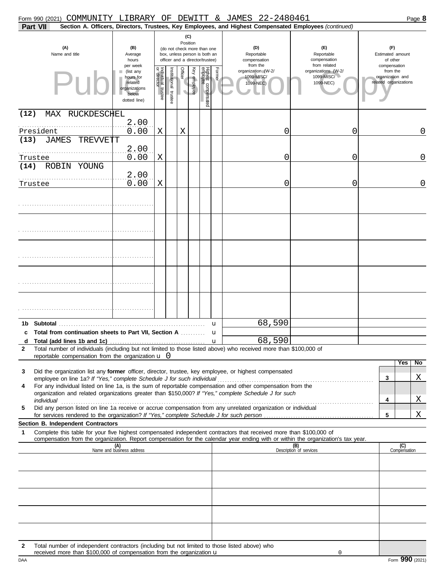| Form 990 (2021) COMMUNITY LIBRARY OF DEWITT & JAMES 22-2480461                                                                                                                                                                                                                                                                                                                                                                                                                                                                                                                    |                                                                                         |                                      |                      |                                     |              |                                 |        |                                                                                                        |                                                   |                                                     | Page 8                                                |  |
|-----------------------------------------------------------------------------------------------------------------------------------------------------------------------------------------------------------------------------------------------------------------------------------------------------------------------------------------------------------------------------------------------------------------------------------------------------------------------------------------------------------------------------------------------------------------------------------|-----------------------------------------------------------------------------------------|--------------------------------------|----------------------|-------------------------------------|--------------|---------------------------------|--------|--------------------------------------------------------------------------------------------------------|---------------------------------------------------|-----------------------------------------------------|-------------------------------------------------------|--|
| Part VII                                                                                                                                                                                                                                                                                                                                                                                                                                                                                                                                                                          |                                                                                         |                                      |                      |                                     |              |                                 |        | Section A. Officers, Directors, Trustees, Key Employees, and Highest Compensated Employees (continued) |                                                   |                                                     |                                                       |  |
| (C)<br>Position<br>(A)<br>(B)<br>(do not check more than one<br>Name and title<br>Average<br>box, unless person is both an<br>hours<br>officer and a director/trustee)                                                                                                                                                                                                                                                                                                                                                                                                            |                                                                                         |                                      |                      |                                     |              |                                 |        | (D)<br>Reportable<br>compensation<br>from the                                                          | (F)<br>Reportable<br>compensation<br>from related | (F)<br>Estimated amount<br>of other<br>compensation |                                                       |  |
| PU                                                                                                                                                                                                                                                                                                                                                                                                                                                                                                                                                                                | per week<br>(list any<br>hours for<br>related<br>organizations<br>below<br>dotted line) | Individual<br>or director<br>trustee | nstitutional trustee | Officer<br>$\overline{\phantom{0}}$ | Key employee | Highest compensated<br>employee | Former | organization (W-2/<br>1099-MISC/<br>1099-NEC)                                                          | organizations (W-2/<br>1099-MISC/<br>1099-NEC)    |                                                     | from the<br>organization and<br>related organizations |  |
| (12)<br>MAX RUCKDESCHEL<br>President                                                                                                                                                                                                                                                                                                                                                                                                                                                                                                                                              | 2.00<br>0.00                                                                            | Χ                                    |                      | Х                                   |              |                                 |        | 0                                                                                                      | 0                                                 |                                                     | $\overline{0}$                                        |  |
| <b>JAMES</b><br><b>TREVVETT</b><br>(13)<br>Trustee                                                                                                                                                                                                                                                                                                                                                                                                                                                                                                                                | 2.00<br>0.00                                                                            | Χ                                    |                      |                                     |              |                                 |        | 0                                                                                                      | 0                                                 |                                                     | $\mathbf 0$                                           |  |
| ROBIN YOUNG<br>(14)<br>Trustee                                                                                                                                                                                                                                                                                                                                                                                                                                                                                                                                                    | 2.00<br>0.00                                                                            | Χ                                    |                      |                                     |              |                                 |        | 0                                                                                                      | 0                                                 |                                                     | $\overline{0}$                                        |  |
|                                                                                                                                                                                                                                                                                                                                                                                                                                                                                                                                                                                   |                                                                                         |                                      |                      |                                     |              |                                 |        |                                                                                                        |                                                   |                                                     |                                                       |  |
|                                                                                                                                                                                                                                                                                                                                                                                                                                                                                                                                                                                   |                                                                                         |                                      |                      |                                     |              |                                 |        |                                                                                                        |                                                   |                                                     |                                                       |  |
|                                                                                                                                                                                                                                                                                                                                                                                                                                                                                                                                                                                   |                                                                                         |                                      |                      |                                     |              |                                 |        |                                                                                                        |                                                   |                                                     |                                                       |  |
|                                                                                                                                                                                                                                                                                                                                                                                                                                                                                                                                                                                   |                                                                                         |                                      |                      |                                     |              |                                 |        |                                                                                                        |                                                   |                                                     |                                                       |  |
|                                                                                                                                                                                                                                                                                                                                                                                                                                                                                                                                                                                   |                                                                                         |                                      |                      |                                     |              |                                 |        |                                                                                                        |                                                   |                                                     |                                                       |  |
| 1b Subtotal<br>c Total from continuation sheets to Part VII, Section A                                                                                                                                                                                                                                                                                                                                                                                                                                                                                                            |                                                                                         |                                      |                      |                                     |              |                                 | u<br>u | 68,590<br>68,590                                                                                       |                                                   |                                                     |                                                       |  |
| Total number of individuals (including but not limited to those listed above) who received more than \$100,000 of<br>$\mathbf{2}$<br>reportable compensation from the organization $\mathbf u$ 0                                                                                                                                                                                                                                                                                                                                                                                  |                                                                                         |                                      |                      |                                     |              |                                 |        |                                                                                                        |                                                   |                                                     |                                                       |  |
| Did the organization list any former officer, director, trustee, key employee, or highest compensated<br>3                                                                                                                                                                                                                                                                                                                                                                                                                                                                        |                                                                                         |                                      |                      |                                     |              |                                 |        |                                                                                                        |                                                   | $\mathbf{3}$                                        | No<br>Yes<br>Χ                                        |  |
| For any individual listed on line 1a, is the sum of reportable compensation and other compensation from the<br>4<br>organization and related organizations greater than \$150,000? If "Yes," complete Schedule J for such<br>individual with a construction of the construction of the construction of the construction of the construction of the construction of the construction of the construction of the construction of the construction of the cons<br>Did any person listed on line 1a receive or accrue compensation from any unrelated organization or individual<br>5 |                                                                                         |                                      |                      |                                     |              |                                 |        |                                                                                                        |                                                   | 4                                                   | Χ                                                     |  |
|                                                                                                                                                                                                                                                                                                                                                                                                                                                                                                                                                                                   |                                                                                         |                                      |                      |                                     |              |                                 |        |                                                                                                        |                                                   | 5                                                   | Χ                                                     |  |
| Section B. Independent Contractors<br>Complete this table for your five highest compensated independent contractors that received more than \$100,000 of<br>1                                                                                                                                                                                                                                                                                                                                                                                                                     |                                                                                         |                                      |                      |                                     |              |                                 |        |                                                                                                        |                                                   |                                                     |                                                       |  |
| compensation from the organization. Report compensation for the calendar year ending with or within the organization's tax year.                                                                                                                                                                                                                                                                                                                                                                                                                                                  |                                                                                         |                                      |                      |                                     |              |                                 |        |                                                                                                        |                                                   |                                                     |                                                       |  |
|                                                                                                                                                                                                                                                                                                                                                                                                                                                                                                                                                                                   | (A)<br>Name and business address                                                        |                                      |                      |                                     |              |                                 |        |                                                                                                        | (B)<br>Description of services                    |                                                     | (C)<br>Compensation                                   |  |
|                                                                                                                                                                                                                                                                                                                                                                                                                                                                                                                                                                                   |                                                                                         |                                      |                      |                                     |              |                                 |        |                                                                                                        |                                                   |                                                     |                                                       |  |
|                                                                                                                                                                                                                                                                                                                                                                                                                                                                                                                                                                                   |                                                                                         |                                      |                      |                                     |              |                                 |        |                                                                                                        |                                                   |                                                     |                                                       |  |
|                                                                                                                                                                                                                                                                                                                                                                                                                                                                                                                                                                                   |                                                                                         |                                      |                      |                                     |              |                                 |        |                                                                                                        |                                                   |                                                     |                                                       |  |
| Total number of independent contractors (including but not limited to those listed above) who<br>2<br>received more than \$100,000 of compensation from the organization u                                                                                                                                                                                                                                                                                                                                                                                                        |                                                                                         |                                      |                      |                                     |              |                                 |        |                                                                                                        | 0                                                 |                                                     |                                                       |  |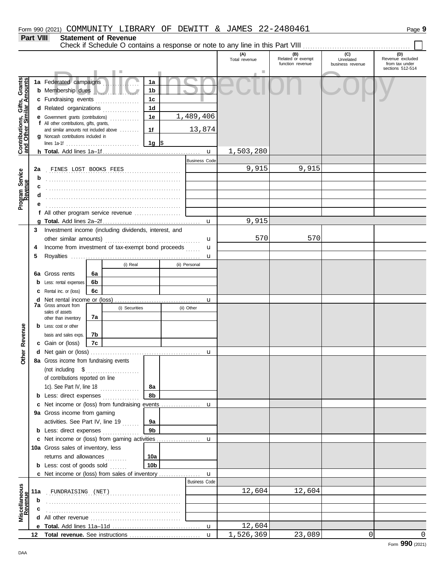**Part VIII Statement of Revenue**

|                                                                  | <u>ı alt vili</u> |                                                                                           |    | יפווופוון טו ויפאפווטפ |                 |  |                      |                      |                                              |                                      |                                                               |
|------------------------------------------------------------------|-------------------|-------------------------------------------------------------------------------------------|----|------------------------|-----------------|--|----------------------|----------------------|----------------------------------------------|--------------------------------------|---------------------------------------------------------------|
|                                                                  |                   |                                                                                           |    |                        |                 |  |                      | (A)<br>Total revenue | (B)<br>Related or exempt<br>function revenue | (C)<br>Unrelated<br>business revenue | (D)<br>Revenue excluded<br>from tax under<br>sections 512-514 |
|                                                                  |                   | 1a Federated campaigns                                                                    |    |                        | 1a              |  |                      |                      |                                              |                                      |                                                               |
|                                                                  |                   | b Membership dues                                                                         |    |                        | 1 <sub>b</sub>  |  |                      |                      |                                              |                                      |                                                               |
|                                                                  |                   | c Fundraising events                                                                      |    |                        | 1 <sub>c</sub>  |  |                      |                      |                                              |                                      |                                                               |
|                                                                  |                   |                                                                                           |    | .                      | 1 <sub>d</sub>  |  |                      |                      |                                              |                                      |                                                               |
|                                                                  |                   | d Related organizations<br><b>e</b> Government grants (contributions)                     |    |                        | 1e              |  | 1,489,406            |                      |                                              |                                      |                                                               |
|                                                                  |                   | f All other contributions, gifts, grants,                                                 |    |                        |                 |  |                      |                      |                                              |                                      |                                                               |
|                                                                  |                   | and similar amounts not included above                                                    |    |                        | 1f              |  | 13,874               |                      |                                              |                                      |                                                               |
|                                                                  |                   | g Noncash contributions included in                                                       |    |                        |                 |  |                      |                      |                                              |                                      |                                                               |
| <b>Contributions, Gifts, Grants</b><br>and Other Similar Amounts |                   |                                                                                           |    |                        |                 |  |                      |                      |                                              |                                      |                                                               |
|                                                                  |                   |                                                                                           |    |                        |                 |  | $\mathbf{u}$         | 1,503,280            |                                              |                                      |                                                               |
|                                                                  |                   |                                                                                           |    |                        |                 |  | <b>Business Code</b> |                      |                                              |                                      |                                                               |
|                                                                  | 2a                | FINES LOST BOOKS FEES                                                                     |    |                        |                 |  |                      | 9,915                | 9,915                                        |                                      |                                                               |
| Program Service                                                  | b                 |                                                                                           |    |                        |                 |  |                      |                      |                                              |                                      |                                                               |
|                                                                  |                   |                                                                                           |    |                        |                 |  |                      |                      |                                              |                                      |                                                               |
|                                                                  |                   |                                                                                           |    |                        |                 |  |                      |                      |                                              |                                      |                                                               |
|                                                                  |                   |                                                                                           |    |                        |                 |  |                      |                      |                                              |                                      |                                                               |
|                                                                  |                   | f All other program service revenue                                                       |    |                        |                 |  |                      |                      |                                              |                                      |                                                               |
|                                                                  |                   |                                                                                           |    |                        |                 |  |                      | 9,915                |                                              |                                      |                                                               |
|                                                                  | 3                 | Investment income (including dividends, interest, and                                     |    |                        |                 |  |                      |                      |                                              |                                      |                                                               |
|                                                                  |                   |                                                                                           |    |                        |                 |  | u                    | 570                  | 570                                          |                                      |                                                               |
|                                                                  | 4                 | Income from investment of tax-exempt bond proceeds                                        |    |                        |                 |  | u                    |                      |                                              |                                      |                                                               |
|                                                                  | 5                 |                                                                                           |    |                        |                 |  | $\mathbf{u}$         |                      |                                              |                                      |                                                               |
|                                                                  |                   |                                                                                           |    | (i) Real               |                 |  | (ii) Personal        |                      |                                              |                                      |                                                               |
|                                                                  | 6а                | Gross rents                                                                               | 6a |                        |                 |  |                      |                      |                                              |                                      |                                                               |
|                                                                  | b                 | Less: rental expenses                                                                     | 6b |                        |                 |  |                      |                      |                                              |                                      |                                                               |
|                                                                  | с                 | Rental inc. or (loss)                                                                     | 6с |                        |                 |  |                      |                      |                                              |                                      |                                                               |
|                                                                  | d                 | Net rental income or (loss)<br><b>7a</b> Gross amount from                                |    |                        |                 |  | $\mathbf{u}$         |                      |                                              |                                      |                                                               |
|                                                                  |                   | sales of assets                                                                           |    | (i) Securities         |                 |  | (ii) Other           |                      |                                              |                                      |                                                               |
|                                                                  |                   | other than inventory                                                                      | 7a |                        |                 |  |                      |                      |                                              |                                      |                                                               |
|                                                                  |                   | <b>b</b> Less: cost or other                                                              |    |                        |                 |  |                      |                      |                                              |                                      |                                                               |
| Other Revenue                                                    |                   | basis and sales exps.                                                                     | 7b |                        |                 |  |                      |                      |                                              |                                      |                                                               |
|                                                                  |                   | c Gain or (loss)                                                                          | 7c |                        |                 |  |                      |                      |                                              |                                      |                                                               |
|                                                                  |                   |                                                                                           |    |                        |                 |  | u                    |                      |                                              |                                      |                                                               |
|                                                                  |                   | 8a Gross income from fundraising events                                                   |    |                        |                 |  |                      |                      |                                              |                                      |                                                               |
|                                                                  |                   | (not including \$                                                                         |    | .                      |                 |  |                      |                      |                                              |                                      |                                                               |
|                                                                  |                   | of contributions reported on line                                                         |    |                        |                 |  |                      |                      |                                              |                                      |                                                               |
|                                                                  |                   | 1c). See Part IV, line 18                                                                 |    |                        | 8а              |  |                      |                      |                                              |                                      |                                                               |
|                                                                  |                   | <b>b</b> Less: direct expenses                                                            |    |                        | 8b              |  |                      |                      |                                              |                                      |                                                               |
|                                                                  |                   | c Net income or (loss) from fundraising events                                            |    |                        |                 |  | u                    |                      |                                              |                                      |                                                               |
|                                                                  |                   | 9a Gross income from gaming                                                               |    |                        |                 |  |                      |                      |                                              |                                      |                                                               |
|                                                                  |                   | activities. See Part IV, line 19                                                          |    |                        | 9a              |  |                      |                      |                                              |                                      |                                                               |
|                                                                  |                   | <b>b</b> Less: direct expenses                                                            |    |                        | 9b              |  |                      |                      |                                              |                                      |                                                               |
|                                                                  |                   | c Net income or (loss) from gaming activities                                             |    |                        |                 |  | u                    |                      |                                              |                                      |                                                               |
|                                                                  |                   | 10a Gross sales of inventory, less                                                        |    |                        |                 |  |                      |                      |                                              |                                      |                                                               |
|                                                                  |                   | returns and allowances<br>10a<br><b>b</b> Less: cost of goods sold                        |    |                        |                 |  |                      |                      |                                              |                                      |                                                               |
|                                                                  |                   |                                                                                           |    |                        | 10 <sub>b</sub> |  |                      |                      |                                              |                                      |                                                               |
|                                                                  |                   | <b>c</b> Net income or (loss) from sales of inventory                                     |    |                        |                 |  | u                    |                      |                                              |                                      |                                                               |
|                                                                  |                   |                                                                                           |    |                        |                 |  | <b>Business Code</b> |                      |                                              |                                      |                                                               |
|                                                                  | 11a               | FUNDRAISING (NET)                                                                         |    |                        |                 |  |                      | 12,604               | 12,604                                       |                                      |                                                               |
| Miscellaneous<br>Revenue                                         | $\mathbf b$       |                                                                                           |    |                        |                 |  |                      |                      |                                              |                                      |                                                               |
|                                                                  |                   |                                                                                           |    |                        |                 |  |                      |                      |                                              |                                      |                                                               |
|                                                                  |                   | <b>d</b> All other revenue $\ldots$ $\ldots$ $\ldots$ $\ldots$ $\ldots$ $\ldots$ $\ldots$ |    |                        |                 |  |                      |                      |                                              |                                      |                                                               |
|                                                                  |                   |                                                                                           |    |                        |                 |  | u                    | 12,604               |                                              |                                      |                                                               |
|                                                                  |                   |                                                                                           |    |                        |                 |  | $\mathbf{u}$         | 1,526,369            | 23,089                                       | $\Omega$                             | $\Omega$                                                      |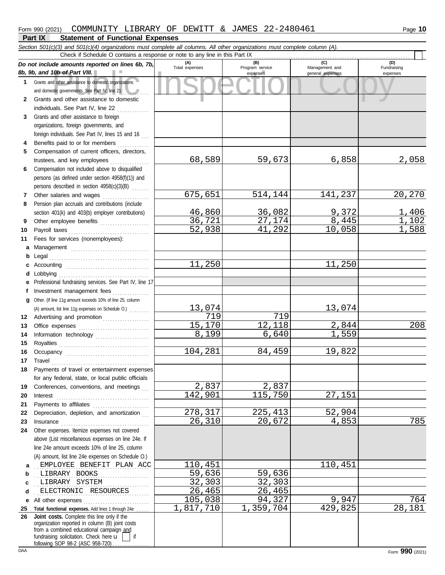|    | Section 501(c)(3) and 501(c)(4) organizations must complete all columns. All other organizations must complete column (A).<br>Check if Schedule O contains a response or note to any line in this Part IX                                                                                                                                                                                                                                                                                                                          |                |                             |                                    |                         |
|----|------------------------------------------------------------------------------------------------------------------------------------------------------------------------------------------------------------------------------------------------------------------------------------------------------------------------------------------------------------------------------------------------------------------------------------------------------------------------------------------------------------------------------------|----------------|-----------------------------|------------------------------------|-------------------------|
|    | Do not include amounts reported on lines 6b, 7b,                                                                                                                                                                                                                                                                                                                                                                                                                                                                                   | (A)            | (B)                         | (C)                                | (D)                     |
|    | 8b, 9b, and 10b of Part VIII.                                                                                                                                                                                                                                                                                                                                                                                                                                                                                                      | Total expenses | Program service<br>expenses | Management and<br>general expenses | Fundraising<br>expenses |
|    | 1 Grants and other assistance to domestic organizations                                                                                                                                                                                                                                                                                                                                                                                                                                                                            |                |                             |                                    |                         |
|    | and domestic governments. See Part IV, line 21                                                                                                                                                                                                                                                                                                                                                                                                                                                                                     |                |                             |                                    |                         |
| 2  | Grants and other assistance to domestic                                                                                                                                                                                                                                                                                                                                                                                                                                                                                            |                |                             |                                    |                         |
|    | individuals. See Part IV, line 22                                                                                                                                                                                                                                                                                                                                                                                                                                                                                                  |                |                             |                                    |                         |
| 3  | Grants and other assistance to foreign                                                                                                                                                                                                                                                                                                                                                                                                                                                                                             |                |                             |                                    |                         |
|    | organizations, foreign governments, and                                                                                                                                                                                                                                                                                                                                                                                                                                                                                            |                |                             |                                    |                         |
|    | foreign individuals. See Part IV, lines 15 and 16                                                                                                                                                                                                                                                                                                                                                                                                                                                                                  |                |                             |                                    |                         |
| 4  | Benefits paid to or for members                                                                                                                                                                                                                                                                                                                                                                                                                                                                                                    |                |                             |                                    |                         |
| 5  | Compensation of current officers, directors,                                                                                                                                                                                                                                                                                                                                                                                                                                                                                       |                |                             |                                    |                         |
|    | trustees, and key employees                                                                                                                                                                                                                                                                                                                                                                                                                                                                                                        | 68,589         | 59,673                      | 6,858                              | 2,058                   |
| 6  | Compensation not included above to disqualified                                                                                                                                                                                                                                                                                                                                                                                                                                                                                    |                |                             |                                    |                         |
|    | persons (as defined under section 4958(f)(1)) and                                                                                                                                                                                                                                                                                                                                                                                                                                                                                  |                |                             |                                    |                         |
|    | persons described in section 4958(c)(3)(B)                                                                                                                                                                                                                                                                                                                                                                                                                                                                                         |                |                             |                                    |                         |
| 7  | Other salaries and wages                                                                                                                                                                                                                                                                                                                                                                                                                                                                                                           | 675,651        | 514,144                     | 141,237                            | 20,270                  |
| 8  | Pension plan accruals and contributions (include                                                                                                                                                                                                                                                                                                                                                                                                                                                                                   |                |                             |                                    |                         |
|    | section 401(k) and 403(b) employer contributions)                                                                                                                                                                                                                                                                                                                                                                                                                                                                                  | 46,860         | 36,082                      | 9,372                              | 1,406                   |
| 9  | Other employee benefits                                                                                                                                                                                                                                                                                                                                                                                                                                                                                                            | 36, 721        | 27,174                      | 8,445                              | 1,102                   |
| 10 | Payroll taxes                                                                                                                                                                                                                                                                                                                                                                                                                                                                                                                      | 52,938         | 41,292                      | 10,058                             | 1,588                   |
| 11 | Fees for services (nonemployees):                                                                                                                                                                                                                                                                                                                                                                                                                                                                                                  |                |                             |                                    |                         |
| a  | Management                                                                                                                                                                                                                                                                                                                                                                                                                                                                                                                         |                |                             |                                    |                         |
| b  | Legal                                                                                                                                                                                                                                                                                                                                                                                                                                                                                                                              |                |                             |                                    |                         |
| c  |                                                                                                                                                                                                                                                                                                                                                                                                                                                                                                                                    | 11,250         |                             | 11,250                             |                         |
| d  | Lobbying                                                                                                                                                                                                                                                                                                                                                                                                                                                                                                                           |                |                             |                                    |                         |
| е  | Professional fundraising services. See Part IV, line 17                                                                                                                                                                                                                                                                                                                                                                                                                                                                            |                |                             |                                    |                         |
| f  | Investment management fees                                                                                                                                                                                                                                                                                                                                                                                                                                                                                                         |                |                             |                                    |                         |
| q  | Other. (If line 11g amount exceeds 10% of line 25, column                                                                                                                                                                                                                                                                                                                                                                                                                                                                          |                |                             |                                    |                         |
|    | (A) amount, list line 11g expenses on Schedule O.)                                                                                                                                                                                                                                                                                                                                                                                                                                                                                 | 13,074         |                             | 13,074                             |                         |
| 12 | Advertising and promotion                                                                                                                                                                                                                                                                                                                                                                                                                                                                                                          | 719            | 719                         |                                    |                         |
| 13 |                                                                                                                                                                                                                                                                                                                                                                                                                                                                                                                                    | 15,170         | 12,118                      | 2,844                              | 208                     |
| 14 | Information technology                                                                                                                                                                                                                                                                                                                                                                                                                                                                                                             | 8,199          | 6,640                       | 1,559                              |                         |
| 15 |                                                                                                                                                                                                                                                                                                                                                                                                                                                                                                                                    |                |                             |                                    |                         |
| 16 |                                                                                                                                                                                                                                                                                                                                                                                                                                                                                                                                    | 104,281        | 84,459                      | 19,822                             |                         |
| 17 | $\begin{minipage}[c]{0.9\linewidth} \textbf{ Travel} \end{minipage}[ \begin{minipage}[c]{0.9\linewidth} \textbf{True} \end{minipage}[ \begin{minipage}[c]{0.9\linewidth} \textbf{True} \end{minipage}[ \begin{minipage}[c]{0.9\linewidth} \textbf{True} \end{minipage}[ \begin{minipage}[c]{0.9\linewidth} \textbf{True} \end{minipage}[ \begin{minipage}[c]{0.9\linewidth} \textbf{True} \end{minipage}[ \begin{minipage}[c]{0.9\linewidth} \textbf{True} \end{minipage}[ \begin{minipage}[c]{0.9\linewidth} \textbf{True} \end{$ |                |                             |                                    |                         |
|    | Payments of travel or entertainment expenses                                                                                                                                                                                                                                                                                                                                                                                                                                                                                       |                |                             |                                    |                         |
|    | for any federal, state, or local public officials                                                                                                                                                                                                                                                                                                                                                                                                                                                                                  |                |                             |                                    |                         |
| 19 | Conferences, conventions, and meetings                                                                                                                                                                                                                                                                                                                                                                                                                                                                                             | 2,837          | 2,837                       |                                    |                         |
| 20 | Interest                                                                                                                                                                                                                                                                                                                                                                                                                                                                                                                           | 142,901        | 115,750                     | 27,151                             |                         |
| 21 |                                                                                                                                                                                                                                                                                                                                                                                                                                                                                                                                    |                |                             |                                    |                         |
| 22 | Depreciation, depletion, and amortization                                                                                                                                                                                                                                                                                                                                                                                                                                                                                          | 278, 317       | 225,413                     | 52,904                             |                         |
| 23 |                                                                                                                                                                                                                                                                                                                                                                                                                                                                                                                                    | 26,310         | 20,672                      | 4,853                              | 785                     |
| 24 | Other expenses. Itemize expenses not covered                                                                                                                                                                                                                                                                                                                                                                                                                                                                                       |                |                             |                                    |                         |
|    | above (List miscellaneous expenses on line 24e. If                                                                                                                                                                                                                                                                                                                                                                                                                                                                                 |                |                             |                                    |                         |
|    | line 24e amount exceeds 10% of line 25, column                                                                                                                                                                                                                                                                                                                                                                                                                                                                                     |                |                             |                                    |                         |
|    | (A) amount, list line 24e expenses on Schedule O.)                                                                                                                                                                                                                                                                                                                                                                                                                                                                                 |                |                             |                                    |                         |
| a  | EMPLOYEE BENEFIT PLAN ACC                                                                                                                                                                                                                                                                                                                                                                                                                                                                                                          | 110,451        |                             | 110,451                            |                         |
| b  | LIBRARY BOOKS                                                                                                                                                                                                                                                                                                                                                                                                                                                                                                                      | 59,636         | 59,636                      |                                    |                         |
| c  | LIBRARY SYSTEM                                                                                                                                                                                                                                                                                                                                                                                                                                                                                                                     | 32,303         | 32,303                      |                                    |                         |
| d  | ELECTRONIC RESOURCES                                                                                                                                                                                                                                                                                                                                                                                                                                                                                                               | 26,465         | 26,465                      |                                    |                         |
| е  |                                                                                                                                                                                                                                                                                                                                                                                                                                                                                                                                    | 105,038        | 94,327                      | 9,947                              | 764                     |
| 25 | Total functional expenses. Add lines 1 through 24e .                                                                                                                                                                                                                                                                                                                                                                                                                                                                               | 1,817,710      | 359,704                     | 429,825                            | 28,181                  |
| 26 | Joint costs. Complete this line only if the<br>organization reported in column (B) joint costs                                                                                                                                                                                                                                                                                                                                                                                                                                     |                |                             |                                    |                         |
|    | from a combined educational campaign and                                                                                                                                                                                                                                                                                                                                                                                                                                                                                           |                |                             |                                    |                         |
|    | fundraising solicitation. Check here u<br>if                                                                                                                                                                                                                                                                                                                                                                                                                                                                                       |                |                             |                                    |                         |

following SOP 98-2 (ASC 958-720) . . . . . . . . . . . . . . .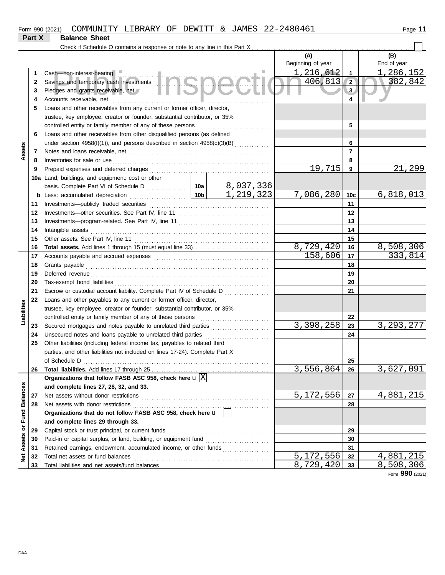## **Part X Balance Sheet**

Check if Schedule O contains a response or note to any line in this Part X . . . . . . . . . . . . . . . . . . . . . . . . . . . . . . . . . . . . . . . . . . . . . . . . . . . . . . . . . . . . . . . . .

| Beginning of year<br>1,216,612<br>$\mathbf{1}$<br>Cash-non-interest-bearing<br>1<br>Savings and temporary cash investments <b>and the contract of the contract of the contract of the contract of the contract of the contract of the contract of the contract of the contract of the contract of the contract of th</b><br>406,813<br>$\sqrt{2}$<br>2<br>Pledges and grants receivable, net <b>All and School and School and School and School and School and School and School</b><br>3 <sub>l</sub><br>3<br>4<br>Accounts receivable, net<br>4<br>Loans and other receivables from any current or former officer, director,<br>5<br>trustee, key employee, creator or founder, substantial contributor, or 35%<br>5<br>Loans and other receivables from other disqualified persons (as defined<br>6<br>under section 4958(f)(1)), and persons described in section 4958(c)(3)(B) $(3)(B)$<br>6<br>Assets<br>$\overline{7}$<br>7<br>8<br>Inventories for sale or use<br>8<br>19,715<br>9<br>9<br>10a Land, buildings, and equipment: cost or other<br><u>8,037,336</u><br>$\overline{1,219,323}$<br>7,086,280<br>∣ 10b İ<br>10 <sub>c</sub><br>Less: accumulated depreciation<br>b<br>11<br>11<br>12<br>12<br>13<br>13<br>14<br>14<br>15<br>15<br>8,729,420<br>16<br>16<br>158,606<br>17<br>17<br>18<br>18<br>19<br>19<br>20<br>20<br>21<br>21<br>Escrow or custodial account liability. Complete Part IV of Schedule D<br>22<br>Loans and other payables to any current or former officer, director,<br>Liabilities<br>trustee, key employee, creator or founder, substantial contributor, or 35%<br>controlled entity or family member of any of these persons<br>22<br>3,398,258<br>23<br>Secured mortgages and notes payable to unrelated third parties<br>23<br>24<br>Unsecured notes and loans payable to unrelated third parties<br>24<br>Other liabilities (including federal income tax, payables to related third<br>25<br>parties, and other liabilities not included on lines 17-24). Complete Part X<br>25 | End of year<br>1,286,152<br>382,842<br>21,299<br>6,818,013 |
|---------------------------------------------------------------------------------------------------------------------------------------------------------------------------------------------------------------------------------------------------------------------------------------------------------------------------------------------------------------------------------------------------------------------------------------------------------------------------------------------------------------------------------------------------------------------------------------------------------------------------------------------------------------------------------------------------------------------------------------------------------------------------------------------------------------------------------------------------------------------------------------------------------------------------------------------------------------------------------------------------------------------------------------------------------------------------------------------------------------------------------------------------------------------------------------------------------------------------------------------------------------------------------------------------------------------------------------------------------------------------------------------------------------------------------------------------------------------------------------------------------------------------------------------------------------------------------------------------------------------------------------------------------------------------------------------------------------------------------------------------------------------------------------------------------------------------------------------------------------------------------------------------------------------------------------------------------------------------------------------------------------------------|------------------------------------------------------------|
|                                                                                                                                                                                                                                                                                                                                                                                                                                                                                                                                                                                                                                                                                                                                                                                                                                                                                                                                                                                                                                                                                                                                                                                                                                                                                                                                                                                                                                                                                                                                                                                                                                                                                                                                                                                                                                                                                                                                                                                                                           |                                                            |
|                                                                                                                                                                                                                                                                                                                                                                                                                                                                                                                                                                                                                                                                                                                                                                                                                                                                                                                                                                                                                                                                                                                                                                                                                                                                                                                                                                                                                                                                                                                                                                                                                                                                                                                                                                                                                                                                                                                                                                                                                           |                                                            |
|                                                                                                                                                                                                                                                                                                                                                                                                                                                                                                                                                                                                                                                                                                                                                                                                                                                                                                                                                                                                                                                                                                                                                                                                                                                                                                                                                                                                                                                                                                                                                                                                                                                                                                                                                                                                                                                                                                                                                                                                                           |                                                            |
|                                                                                                                                                                                                                                                                                                                                                                                                                                                                                                                                                                                                                                                                                                                                                                                                                                                                                                                                                                                                                                                                                                                                                                                                                                                                                                                                                                                                                                                                                                                                                                                                                                                                                                                                                                                                                                                                                                                                                                                                                           |                                                            |
|                                                                                                                                                                                                                                                                                                                                                                                                                                                                                                                                                                                                                                                                                                                                                                                                                                                                                                                                                                                                                                                                                                                                                                                                                                                                                                                                                                                                                                                                                                                                                                                                                                                                                                                                                                                                                                                                                                                                                                                                                           |                                                            |
|                                                                                                                                                                                                                                                                                                                                                                                                                                                                                                                                                                                                                                                                                                                                                                                                                                                                                                                                                                                                                                                                                                                                                                                                                                                                                                                                                                                                                                                                                                                                                                                                                                                                                                                                                                                                                                                                                                                                                                                                                           |                                                            |
|                                                                                                                                                                                                                                                                                                                                                                                                                                                                                                                                                                                                                                                                                                                                                                                                                                                                                                                                                                                                                                                                                                                                                                                                                                                                                                                                                                                                                                                                                                                                                                                                                                                                                                                                                                                                                                                                                                                                                                                                                           |                                                            |
|                                                                                                                                                                                                                                                                                                                                                                                                                                                                                                                                                                                                                                                                                                                                                                                                                                                                                                                                                                                                                                                                                                                                                                                                                                                                                                                                                                                                                                                                                                                                                                                                                                                                                                                                                                                                                                                                                                                                                                                                                           |                                                            |
|                                                                                                                                                                                                                                                                                                                                                                                                                                                                                                                                                                                                                                                                                                                                                                                                                                                                                                                                                                                                                                                                                                                                                                                                                                                                                                                                                                                                                                                                                                                                                                                                                                                                                                                                                                                                                                                                                                                                                                                                                           |                                                            |
|                                                                                                                                                                                                                                                                                                                                                                                                                                                                                                                                                                                                                                                                                                                                                                                                                                                                                                                                                                                                                                                                                                                                                                                                                                                                                                                                                                                                                                                                                                                                                                                                                                                                                                                                                                                                                                                                                                                                                                                                                           |                                                            |
|                                                                                                                                                                                                                                                                                                                                                                                                                                                                                                                                                                                                                                                                                                                                                                                                                                                                                                                                                                                                                                                                                                                                                                                                                                                                                                                                                                                                                                                                                                                                                                                                                                                                                                                                                                                                                                                                                                                                                                                                                           |                                                            |
|                                                                                                                                                                                                                                                                                                                                                                                                                                                                                                                                                                                                                                                                                                                                                                                                                                                                                                                                                                                                                                                                                                                                                                                                                                                                                                                                                                                                                                                                                                                                                                                                                                                                                                                                                                                                                                                                                                                                                                                                                           |                                                            |
|                                                                                                                                                                                                                                                                                                                                                                                                                                                                                                                                                                                                                                                                                                                                                                                                                                                                                                                                                                                                                                                                                                                                                                                                                                                                                                                                                                                                                                                                                                                                                                                                                                                                                                                                                                                                                                                                                                                                                                                                                           |                                                            |
|                                                                                                                                                                                                                                                                                                                                                                                                                                                                                                                                                                                                                                                                                                                                                                                                                                                                                                                                                                                                                                                                                                                                                                                                                                                                                                                                                                                                                                                                                                                                                                                                                                                                                                                                                                                                                                                                                                                                                                                                                           |                                                            |
|                                                                                                                                                                                                                                                                                                                                                                                                                                                                                                                                                                                                                                                                                                                                                                                                                                                                                                                                                                                                                                                                                                                                                                                                                                                                                                                                                                                                                                                                                                                                                                                                                                                                                                                                                                                                                                                                                                                                                                                                                           |                                                            |
|                                                                                                                                                                                                                                                                                                                                                                                                                                                                                                                                                                                                                                                                                                                                                                                                                                                                                                                                                                                                                                                                                                                                                                                                                                                                                                                                                                                                                                                                                                                                                                                                                                                                                                                                                                                                                                                                                                                                                                                                                           |                                                            |
|                                                                                                                                                                                                                                                                                                                                                                                                                                                                                                                                                                                                                                                                                                                                                                                                                                                                                                                                                                                                                                                                                                                                                                                                                                                                                                                                                                                                                                                                                                                                                                                                                                                                                                                                                                                                                                                                                                                                                                                                                           |                                                            |
|                                                                                                                                                                                                                                                                                                                                                                                                                                                                                                                                                                                                                                                                                                                                                                                                                                                                                                                                                                                                                                                                                                                                                                                                                                                                                                                                                                                                                                                                                                                                                                                                                                                                                                                                                                                                                                                                                                                                                                                                                           |                                                            |
|                                                                                                                                                                                                                                                                                                                                                                                                                                                                                                                                                                                                                                                                                                                                                                                                                                                                                                                                                                                                                                                                                                                                                                                                                                                                                                                                                                                                                                                                                                                                                                                                                                                                                                                                                                                                                                                                                                                                                                                                                           |                                                            |
|                                                                                                                                                                                                                                                                                                                                                                                                                                                                                                                                                                                                                                                                                                                                                                                                                                                                                                                                                                                                                                                                                                                                                                                                                                                                                                                                                                                                                                                                                                                                                                                                                                                                                                                                                                                                                                                                                                                                                                                                                           |                                                            |
|                                                                                                                                                                                                                                                                                                                                                                                                                                                                                                                                                                                                                                                                                                                                                                                                                                                                                                                                                                                                                                                                                                                                                                                                                                                                                                                                                                                                                                                                                                                                                                                                                                                                                                                                                                                                                                                                                                                                                                                                                           | 8,508,306                                                  |
|                                                                                                                                                                                                                                                                                                                                                                                                                                                                                                                                                                                                                                                                                                                                                                                                                                                                                                                                                                                                                                                                                                                                                                                                                                                                                                                                                                                                                                                                                                                                                                                                                                                                                                                                                                                                                                                                                                                                                                                                                           | 333,814                                                    |
|                                                                                                                                                                                                                                                                                                                                                                                                                                                                                                                                                                                                                                                                                                                                                                                                                                                                                                                                                                                                                                                                                                                                                                                                                                                                                                                                                                                                                                                                                                                                                                                                                                                                                                                                                                                                                                                                                                                                                                                                                           |                                                            |
|                                                                                                                                                                                                                                                                                                                                                                                                                                                                                                                                                                                                                                                                                                                                                                                                                                                                                                                                                                                                                                                                                                                                                                                                                                                                                                                                                                                                                                                                                                                                                                                                                                                                                                                                                                                                                                                                                                                                                                                                                           |                                                            |
|                                                                                                                                                                                                                                                                                                                                                                                                                                                                                                                                                                                                                                                                                                                                                                                                                                                                                                                                                                                                                                                                                                                                                                                                                                                                                                                                                                                                                                                                                                                                                                                                                                                                                                                                                                                                                                                                                                                                                                                                                           |                                                            |
|                                                                                                                                                                                                                                                                                                                                                                                                                                                                                                                                                                                                                                                                                                                                                                                                                                                                                                                                                                                                                                                                                                                                                                                                                                                                                                                                                                                                                                                                                                                                                                                                                                                                                                                                                                                                                                                                                                                                                                                                                           |                                                            |
|                                                                                                                                                                                                                                                                                                                                                                                                                                                                                                                                                                                                                                                                                                                                                                                                                                                                                                                                                                                                                                                                                                                                                                                                                                                                                                                                                                                                                                                                                                                                                                                                                                                                                                                                                                                                                                                                                                                                                                                                                           |                                                            |
|                                                                                                                                                                                                                                                                                                                                                                                                                                                                                                                                                                                                                                                                                                                                                                                                                                                                                                                                                                                                                                                                                                                                                                                                                                                                                                                                                                                                                                                                                                                                                                                                                                                                                                                                                                                                                                                                                                                                                                                                                           |                                                            |
|                                                                                                                                                                                                                                                                                                                                                                                                                                                                                                                                                                                                                                                                                                                                                                                                                                                                                                                                                                                                                                                                                                                                                                                                                                                                                                                                                                                                                                                                                                                                                                                                                                                                                                                                                                                                                                                                                                                                                                                                                           |                                                            |
|                                                                                                                                                                                                                                                                                                                                                                                                                                                                                                                                                                                                                                                                                                                                                                                                                                                                                                                                                                                                                                                                                                                                                                                                                                                                                                                                                                                                                                                                                                                                                                                                                                                                                                                                                                                                                                                                                                                                                                                                                           | 3, 293, 277                                                |
|                                                                                                                                                                                                                                                                                                                                                                                                                                                                                                                                                                                                                                                                                                                                                                                                                                                                                                                                                                                                                                                                                                                                                                                                                                                                                                                                                                                                                                                                                                                                                                                                                                                                                                                                                                                                                                                                                                                                                                                                                           |                                                            |
|                                                                                                                                                                                                                                                                                                                                                                                                                                                                                                                                                                                                                                                                                                                                                                                                                                                                                                                                                                                                                                                                                                                                                                                                                                                                                                                                                                                                                                                                                                                                                                                                                                                                                                                                                                                                                                                                                                                                                                                                                           |                                                            |
|                                                                                                                                                                                                                                                                                                                                                                                                                                                                                                                                                                                                                                                                                                                                                                                                                                                                                                                                                                                                                                                                                                                                                                                                                                                                                                                                                                                                                                                                                                                                                                                                                                                                                                                                                                                                                                                                                                                                                                                                                           |                                                            |
|                                                                                                                                                                                                                                                                                                                                                                                                                                                                                                                                                                                                                                                                                                                                                                                                                                                                                                                                                                                                                                                                                                                                                                                                                                                                                                                                                                                                                                                                                                                                                                                                                                                                                                                                                                                                                                                                                                                                                                                                                           |                                                            |
| 3,556,864<br>26<br>26                                                                                                                                                                                                                                                                                                                                                                                                                                                                                                                                                                                                                                                                                                                                                                                                                                                                                                                                                                                                                                                                                                                                                                                                                                                                                                                                                                                                                                                                                                                                                                                                                                                                                                                                                                                                                                                                                                                                                                                                     | 3,627,091                                                  |
| Organizations that follow FASB ASC 958, check here $\mathbf{u} \boxed{\mathrm{X}}$                                                                                                                                                                                                                                                                                                                                                                                                                                                                                                                                                                                                                                                                                                                                                                                                                                                                                                                                                                                                                                                                                                                                                                                                                                                                                                                                                                                                                                                                                                                                                                                                                                                                                                                                                                                                                                                                                                                                        |                                                            |
| and complete lines 27, 28, 32, and 33.                                                                                                                                                                                                                                                                                                                                                                                                                                                                                                                                                                                                                                                                                                                                                                                                                                                                                                                                                                                                                                                                                                                                                                                                                                                                                                                                                                                                                                                                                                                                                                                                                                                                                                                                                                                                                                                                                                                                                                                    |                                                            |
| 5,172,556<br>Net assets without donor restrictions<br>27<br>27                                                                                                                                                                                                                                                                                                                                                                                                                                                                                                                                                                                                                                                                                                                                                                                                                                                                                                                                                                                                                                                                                                                                                                                                                                                                                                                                                                                                                                                                                                                                                                                                                                                                                                                                                                                                                                                                                                                                                            | 4,881,215                                                  |
| Net assets with donor restrictions<br>28<br>28                                                                                                                                                                                                                                                                                                                                                                                                                                                                                                                                                                                                                                                                                                                                                                                                                                                                                                                                                                                                                                                                                                                                                                                                                                                                                                                                                                                                                                                                                                                                                                                                                                                                                                                                                                                                                                                                                                                                                                            |                                                            |
| Organizations that do not follow FASB ASC 958, check here u                                                                                                                                                                                                                                                                                                                                                                                                                                                                                                                                                                                                                                                                                                                                                                                                                                                                                                                                                                                                                                                                                                                                                                                                                                                                                                                                                                                                                                                                                                                                                                                                                                                                                                                                                                                                                                                                                                                                                               |                                                            |
| and complete lines 29 through 33.                                                                                                                                                                                                                                                                                                                                                                                                                                                                                                                                                                                                                                                                                                                                                                                                                                                                                                                                                                                                                                                                                                                                                                                                                                                                                                                                                                                                                                                                                                                                                                                                                                                                                                                                                                                                                                                                                                                                                                                         |                                                            |
| or Fund Balances<br>29<br>Capital stock or trust principal, or current funds<br>29                                                                                                                                                                                                                                                                                                                                                                                                                                                                                                                                                                                                                                                                                                                                                                                                                                                                                                                                                                                                                                                                                                                                                                                                                                                                                                                                                                                                                                                                                                                                                                                                                                                                                                                                                                                                                                                                                                                                        |                                                            |
| 30<br>30                                                                                                                                                                                                                                                                                                                                                                                                                                                                                                                                                                                                                                                                                                                                                                                                                                                                                                                                                                                                                                                                                                                                                                                                                                                                                                                                                                                                                                                                                                                                                                                                                                                                                                                                                                                                                                                                                                                                                                                                                  |                                                            |
| Retained earnings, endowment, accumulated income, or other funds<br>31<br>31                                                                                                                                                                                                                                                                                                                                                                                                                                                                                                                                                                                                                                                                                                                                                                                                                                                                                                                                                                                                                                                                                                                                                                                                                                                                                                                                                                                                                                                                                                                                                                                                                                                                                                                                                                                                                                                                                                                                              |                                                            |
| <b>Net Assets</b><br>$\overline{5,172,556}$<br>Total net assets or fund balances<br>32<br>32                                                                                                                                                                                                                                                                                                                                                                                                                                                                                                                                                                                                                                                                                                                                                                                                                                                                                                                                                                                                                                                                                                                                                                                                                                                                                                                                                                                                                                                                                                                                                                                                                                                                                                                                                                                                                                                                                                                              |                                                            |
| 8,729,420<br>8,508,306<br>33<br>33                                                                                                                                                                                                                                                                                                                                                                                                                                                                                                                                                                                                                                                                                                                                                                                                                                                                                                                                                                                                                                                                                                                                                                                                                                                                                                                                                                                                                                                                                                                                                                                                                                                                                                                                                                                                                                                                                                                                                                                        | 4,881,215                                                  |

Form **990** (2021)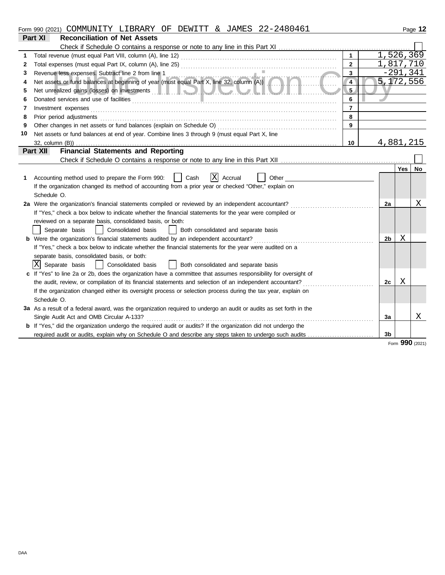|--|

|    | Part XI<br><b>Reconciliation of Net Assets</b>                                                                                                                                                                                            |                |            |                 |
|----|-------------------------------------------------------------------------------------------------------------------------------------------------------------------------------------------------------------------------------------------|----------------|------------|-----------------|
|    |                                                                                                                                                                                                                                           |                |            |                 |
| 1  | $\mathbf{1}$                                                                                                                                                                                                                              | 1,526,369      |            |                 |
| 2  | $\overline{2}$                                                                                                                                                                                                                            | 1,817,710      |            |                 |
| 3  | $3^{\circ}$                                                                                                                                                                                                                               |                | $-291,341$ |                 |
| 4  | Revenue less expenses. Subtract line 2 from line 1<br>Net assets or fund balances at beginning of year (must equal Part X, line 32, column (A))<br>$\overline{4}$                                                                         | 5,172,556      |            |                 |
| 5  | 5.                                                                                                                                                                                                                                        |                |            |                 |
| 6  | 6                                                                                                                                                                                                                                         |                |            |                 |
| 7  | Investment expenses <b>constant of the constant of the constant of the constant of the constant of the constant of the constant of the constant of the constant of the constant of the constant of the constant of the constant </b><br>7 |                |            |                 |
| 8  | 8<br>Prior period adjustments [11] production and the contract of the contract of the contract of the contract of the contract of the contract of the contract of the contract of the contract of the contract of the contract of t       |                |            |                 |
| 9  | 9                                                                                                                                                                                                                                         |                |            |                 |
| 10 | Net assets or fund balances at end of year. Combine lines 3 through 9 (must equal Part X, line                                                                                                                                            |                |            |                 |
|    | 10<br>32, column (B))                                                                                                                                                                                                                     | 4,881,215      |            |                 |
|    | <b>Financial Statements and Reporting</b><br>Part XII                                                                                                                                                                                     |                |            |                 |
|    |                                                                                                                                                                                                                                           |                |            |                 |
|    |                                                                                                                                                                                                                                           |                | Yes        | No              |
| 1. | x <br>Cash<br>Accrual<br>Accounting method used to prepare the Form 990:<br>Other                                                                                                                                                         |                |            |                 |
|    | If the organization changed its method of accounting from a prior year or checked "Other," explain on                                                                                                                                     |                |            |                 |
|    | Schedule O.                                                                                                                                                                                                                               |                |            |                 |
|    | 2a Were the organization's financial statements compiled or reviewed by an independent accountant?                                                                                                                                        | 2a             |            | Χ               |
|    | If "Yes," check a box below to indicate whether the financial statements for the year were compiled or                                                                                                                                    |                |            |                 |
|    | reviewed on a separate basis, consolidated basis, or both:                                                                                                                                                                                |                |            |                 |
|    | Consolidated basis<br>Separate basis<br>Both consolidated and separate basis<br>$\mathbf{I}$                                                                                                                                              |                |            |                 |
|    | <b>b</b> Were the organization's financial statements audited by an independent accountant?                                                                                                                                               | 2b             | Χ          |                 |
|    | If "Yes," check a box below to indicate whether the financial statements for the year were audited on a                                                                                                                                   |                |            |                 |
|    | separate basis, consolidated basis, or both:                                                                                                                                                                                              |                |            |                 |
|    | X Separate basis<br>Consolidated basis<br>  Both consolidated and separate basis                                                                                                                                                          |                |            |                 |
|    | c If "Yes" to line 2a or 2b, does the organization have a committee that assumes responsibility for oversight of                                                                                                                          |                |            |                 |
|    |                                                                                                                                                                                                                                           | 2c             | Χ          |                 |
|    | If the organization changed either its oversight process or selection process during the tax year, explain on                                                                                                                             |                |            |                 |
|    | Schedule O.                                                                                                                                                                                                                               |                |            |                 |
|    | 3a As a result of a federal award, was the organization required to undergo an audit or audits as set forth in the                                                                                                                        |                |            |                 |
|    | Single Audit Act and OMB Circular A-133?                                                                                                                                                                                                  | 3a             |            | Χ               |
|    | b If "Yes," did the organization undergo the required audit or audits? If the organization did not undergo the                                                                                                                            |                |            |                 |
|    |                                                                                                                                                                                                                                           | 3 <sub>b</sub> |            |                 |
|    |                                                                                                                                                                                                                                           |                |            | Form 990 (2021) |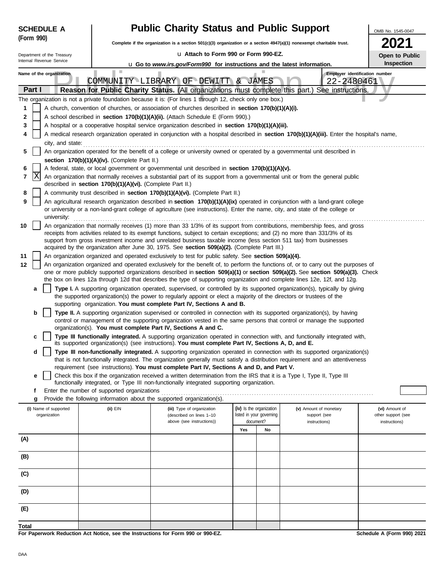| <b>SCHEDULE A</b>                                                                                                                                                                                                                                           |                                                                                                                                                                                                                                                           | <b>Public Charity Status and Public Support</b>                                                                                                                                                                                                                 |  |                          |                               | OMB No. 1545-0047                   |  |  |  |  |
|-------------------------------------------------------------------------------------------------------------------------------------------------------------------------------------------------------------------------------------------------------------|-----------------------------------------------------------------------------------------------------------------------------------------------------------------------------------------------------------------------------------------------------------|-----------------------------------------------------------------------------------------------------------------------------------------------------------------------------------------------------------------------------------------------------------------|--|--------------------------|-------------------------------|-------------------------------------|--|--|--|--|
| (Form 990)                                                                                                                                                                                                                                                  |                                                                                                                                                                                                                                                           | Complete if the organization is a section 501(c)(3) organization or a section 4947(a)(1) nonexempt charitable trust.                                                                                                                                            |  |                          |                               |                                     |  |  |  |  |
| Department of the Treasury                                                                                                                                                                                                                                  |                                                                                                                                                                                                                                                           | u Attach to Form 990 or Form 990-EZ.                                                                                                                                                                                                                            |  |                          |                               | Open to Public                      |  |  |  |  |
| Internal Revenue Service                                                                                                                                                                                                                                    |                                                                                                                                                                                                                                                           | <b>u</b> Go to www.irs.gov/Form990 for instructions and the latest information.                                                                                                                                                                                 |  |                          |                               | Inspection                          |  |  |  |  |
| Name of the organization<br>Part I                                                                                                                                                                                                                          |                                                                                                                                                                                                                                                           | Employer identification number<br>COMMUNITY LIBRARY OF DEWITT & JAMES<br>22-2480461<br>Reason for Public Charity Status. (All organizations must complete this part.) See instructions.                                                                         |  |                          |                               |                                     |  |  |  |  |
|                                                                                                                                                                                                                                                             |                                                                                                                                                                                                                                                           | The organization is not a private foundation because it is: (For lines 1 through 12, check only one box.)                                                                                                                                                       |  |                          |                               |                                     |  |  |  |  |
| 1                                                                                                                                                                                                                                                           |                                                                                                                                                                                                                                                           | A church, convention of churches, or association of churches described in section 170(b)(1)(A)(i).                                                                                                                                                              |  |                          |                               |                                     |  |  |  |  |
| 2                                                                                                                                                                                                                                                           |                                                                                                                                                                                                                                                           | A school described in section 170(b)(1)(A)(ii). (Attach Schedule E (Form 990).)                                                                                                                                                                                 |  |                          |                               |                                     |  |  |  |  |
| 3                                                                                                                                                                                                                                                           | A hospital or a cooperative hospital service organization described in section 170(b)(1)(A)(iii).                                                                                                                                                         |                                                                                                                                                                                                                                                                 |  |                          |                               |                                     |  |  |  |  |
| A medical research organization operated in conjunction with a hospital described in section 170(b)(1)(A)(iii). Enter the hospital's name,<br>4                                                                                                             |                                                                                                                                                                                                                                                           |                                                                                                                                                                                                                                                                 |  |                          |                               |                                     |  |  |  |  |
| city, and state:<br>An organization operated for the benefit of a college or university owned or operated by a governmental unit described in<br>5<br>section 170(b)(1)(A)(iv). (Complete Part II.)                                                         |                                                                                                                                                                                                                                                           |                                                                                                                                                                                                                                                                 |  |                          |                               |                                     |  |  |  |  |
| 6                                                                                                                                                                                                                                                           |                                                                                                                                                                                                                                                           | A federal, state, or local government or governmental unit described in section 170(b)(1)(A)(v).                                                                                                                                                                |  |                          |                               |                                     |  |  |  |  |
| X<br>7                                                                                                                                                                                                                                                      | described in section 170(b)(1)(A)(vi). (Complete Part II.)                                                                                                                                                                                                | An organization that normally receives a substantial part of its support from a governmental unit or from the general public                                                                                                                                    |  |                          |                               |                                     |  |  |  |  |
| 8                                                                                                                                                                                                                                                           |                                                                                                                                                                                                                                                           | A community trust described in section 170(b)(1)(A)(vi). (Complete Part II.)                                                                                                                                                                                    |  |                          |                               |                                     |  |  |  |  |
| 9<br>university:                                                                                                                                                                                                                                            |                                                                                                                                                                                                                                                           | An agricultural research organization described in section 170(b)(1)(A)(ix) operated in conjunction with a land-grant college<br>or university or a non-land-grant college of agriculture (see instructions). Enter the name, city, and state of the college or |  |                          |                               |                                     |  |  |  |  |
| 10                                                                                                                                                                                                                                                          | An organization that normally receives (1) more than 33 1/3% of its support from contributions, membership fees, and gross<br>receipts from activities related to its exempt functions, subject to certain exceptions; and (2) no more than 331/3% of its |                                                                                                                                                                                                                                                                 |  |                          |                               |                                     |  |  |  |  |
|                                                                                                                                                                                                                                                             | support from gross investment income and unrelated business taxable income (less section 511 tax) from businesses<br>acquired by the organization after June 30, 1975. See section 509(a)(2). (Complete Part III.)                                        |                                                                                                                                                                                                                                                                 |  |                          |                               |                                     |  |  |  |  |
| 11                                                                                                                                                                                                                                                          | An organization organized and operated exclusively to test for public safety. See section 509(a)(4).                                                                                                                                                      |                                                                                                                                                                                                                                                                 |  |                          |                               |                                     |  |  |  |  |
| 12                                                                                                                                                                                                                                                          | An organization organized and operated exclusively for the benefit of, to perform the functions of, or to carry out the purposes of                                                                                                                       |                                                                                                                                                                                                                                                                 |  |                          |                               |                                     |  |  |  |  |
| one or more publicly supported organizations described in section 509(a)(1) or section 509(a)(2). See section 509(a)(3). Check<br>the box on lines 12a through 12d that describes the type of supporting organization and complete lines 12e, 12f, and 12g. |                                                                                                                                                                                                                                                           |                                                                                                                                                                                                                                                                 |  |                          |                               |                                     |  |  |  |  |
| a                                                                                                                                                                                                                                                           |                                                                                                                                                                                                                                                           | Type I. A supporting organization operated, supervised, or controlled by its supported organization(s), typically by giving                                                                                                                                     |  |                          |                               |                                     |  |  |  |  |
|                                                                                                                                                                                                                                                             |                                                                                                                                                                                                                                                           | the supported organization(s) the power to regularly appoint or elect a majority of the directors or trustees of the                                                                                                                                            |  |                          |                               |                                     |  |  |  |  |
| b                                                                                                                                                                                                                                                           |                                                                                                                                                                                                                                                           | supporting organization. You must complete Part IV, Sections A and B.<br>Type II. A supporting organization supervised or controlled in connection with its supported organization(s), by having                                                                |  |                          |                               |                                     |  |  |  |  |
|                                                                                                                                                                                                                                                             |                                                                                                                                                                                                                                                           | control or management of the supporting organization vested in the same persons that control or manage the supported                                                                                                                                            |  |                          |                               |                                     |  |  |  |  |
|                                                                                                                                                                                                                                                             |                                                                                                                                                                                                                                                           | organization(s). You must complete Part IV, Sections A and C.                                                                                                                                                                                                   |  |                          |                               |                                     |  |  |  |  |
| c                                                                                                                                                                                                                                                           |                                                                                                                                                                                                                                                           | Type III functionally integrated. A supporting organization operated in connection with, and functionally integrated with,<br>its supported organization(s) (see instructions). You must complete Part IV, Sections A, D, and E.                                |  |                          |                               |                                     |  |  |  |  |
| d                                                                                                                                                                                                                                                           |                                                                                                                                                                                                                                                           | Type III non-functionally integrated. A supporting organization operated in connection with its supported organization(s)<br>that is not functionally integrated. The organization generally must satisfy a distribution requirement and an attentiveness       |  |                          |                               |                                     |  |  |  |  |
| е                                                                                                                                                                                                                                                           |                                                                                                                                                                                                                                                           | requirement (see instructions). You must complete Part IV, Sections A and D, and Part V.<br>Check this box if the organization received a written determination from the IRS that it is a Type I, Type II, Type III                                             |  |                          |                               |                                     |  |  |  |  |
|                                                                                                                                                                                                                                                             |                                                                                                                                                                                                                                                           | functionally integrated, or Type III non-functionally integrated supporting organization.                                                                                                                                                                       |  |                          |                               |                                     |  |  |  |  |
| f<br>g                                                                                                                                                                                                                                                      | Enter the number of supported organizations                                                                                                                                                                                                               | Provide the following information about the supported organization(s).                                                                                                                                                                                          |  |                          |                               |                                     |  |  |  |  |
| (i) Name of supported                                                                                                                                                                                                                                       | (ii) EIN                                                                                                                                                                                                                                                  | (iii) Type of organization                                                                                                                                                                                                                                      |  | (iv) Is the organization | (v) Amount of monetary        | (vi) Amount of                      |  |  |  |  |
| organization                                                                                                                                                                                                                                                |                                                                                                                                                                                                                                                           | (described on lines 1-10<br>above (see instructions))                                                                                                                                                                                                           |  | listed in your governing | support (see<br>instructions) | other support (see<br>instructions) |  |  |  |  |
| document?<br>Yes<br>No                                                                                                                                                                                                                                      |                                                                                                                                                                                                                                                           |                                                                                                                                                                                                                                                                 |  |                          |                               |                                     |  |  |  |  |
| (A)                                                                                                                                                                                                                                                         |                                                                                                                                                                                                                                                           |                                                                                                                                                                                                                                                                 |  |                          |                               |                                     |  |  |  |  |
| (B)                                                                                                                                                                                                                                                         |                                                                                                                                                                                                                                                           |                                                                                                                                                                                                                                                                 |  |                          |                               |                                     |  |  |  |  |
| (C)                                                                                                                                                                                                                                                         |                                                                                                                                                                                                                                                           |                                                                                                                                                                                                                                                                 |  |                          |                               |                                     |  |  |  |  |
|                                                                                                                                                                                                                                                             |                                                                                                                                                                                                                                                           |                                                                                                                                                                                                                                                                 |  |                          |                               |                                     |  |  |  |  |
| (D)                                                                                                                                                                                                                                                         |                                                                                                                                                                                                                                                           |                                                                                                                                                                                                                                                                 |  |                          |                               |                                     |  |  |  |  |
| (E)                                                                                                                                                                                                                                                         |                                                                                                                                                                                                                                                           |                                                                                                                                                                                                                                                                 |  |                          |                               |                                     |  |  |  |  |
| <b>Total</b>                                                                                                                                                                                                                                                |                                                                                                                                                                                                                                                           |                                                                                                                                                                                                                                                                 |  |                          |                               |                                     |  |  |  |  |

**For Paperwork Reduction Act Notice, see the Instructions for Form 990 or 990-EZ.**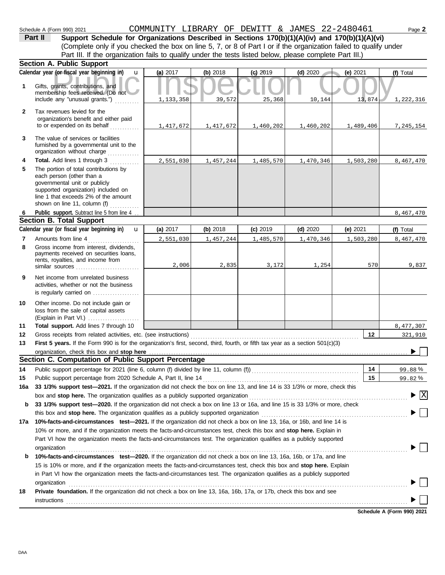(Complete only if you checked the box on line 5, 7, or 8 of Part I or if the organization failed to qualify under **Part II** Support Schedule for Organizations Described in Sections 170(b)(1)(A)(iv) and 170(b)(1)(A)(vi) Part III. If the organization fails to qualify under the tests listed below, please complete Part III.)

|              | <b>Section A. Public Support</b>                                                                                                                                                                                                                                 |           |           |            |            |           |                            |  |  |  |
|--------------|------------------------------------------------------------------------------------------------------------------------------------------------------------------------------------------------------------------------------------------------------------------|-----------|-----------|------------|------------|-----------|----------------------------|--|--|--|
|              | Calendar year (or fiscal year beginning in)<br>$\mathbf{u}$                                                                                                                                                                                                      | (a) 2017  | (b) 2018  | $(c)$ 2019 | $(d)$ 2020 | (e) 2021  | (f) Total                  |  |  |  |
| 1            | Gifts, grants, contributions, and<br>membership fees received. (Do not                                                                                                                                                                                           |           |           |            |            |           |                            |  |  |  |
|              | include any "unusual grants.")                                                                                                                                                                                                                                   | 1,133,358 | 39,572    | 25,368     | 10,144     | 13,874    | 1,222,316                  |  |  |  |
| $\mathbf{2}$ | Tax revenues levied for the<br>organization's benefit and either paid<br>to or expended on its behalf                                                                                                                                                            | 1,417,672 | 1,417,672 | 1,460,202  | 1,460,202  | 1,489,406 | 7,245,154                  |  |  |  |
| 3            | The value of services or facilities<br>furnished by a governmental unit to the<br>organization without charge                                                                                                                                                    |           |           |            |            |           |                            |  |  |  |
| 4            | Total. Add lines 1 through 3                                                                                                                                                                                                                                     | 2,551,030 | 1,457,244 | 1,485,570  | 1,470,346  | 1,503,280 | 8,467,470                  |  |  |  |
| 5            | The portion of total contributions by<br>each person (other than a<br>governmental unit or publicly<br>supported organization) included on<br>line 1 that exceeds 2% of the amount<br>shown on line 11, column (f)                                               |           |           |            |            |           |                            |  |  |  |
| - 6          | Public support. Subtract line 5 from line 4                                                                                                                                                                                                                      |           |           |            |            |           | 8,467,470                  |  |  |  |
|              | <b>Section B. Total Support</b>                                                                                                                                                                                                                                  |           |           |            |            |           |                            |  |  |  |
|              | Calendar year (or fiscal year beginning in)<br>$\mathbf{u}$                                                                                                                                                                                                      | (a) 2017  | (b) 2018  | $(c)$ 2019 | $(d)$ 2020 | (e) 2021  | (f) Total                  |  |  |  |
| 7            | Amounts from line 4                                                                                                                                                                                                                                              | 2,551,030 | 1,457,244 | 1,485,570  | 1,470,346  | 1,503,280 | 8,467,470                  |  |  |  |
| 8            | Gross income from interest, dividends,<br>payments received on securities loans,<br>rents, royalties, and income from<br>similar sources $\ldots, \ldots, \ldots, \ldots, \ldots, \ldots$                                                                        | 2,006     | 2,835     | 3,172      | 1,254      | 570       | 9,837                      |  |  |  |
| 9            | Net income from unrelated business<br>activities, whether or not the business<br>is regularly carried on                                                                                                                                                         |           |           |            |            |           |                            |  |  |  |
| 10           | Other income. Do not include gain or<br>loss from the sale of capital assets<br>(Explain in Part VI.)                                                                                                                                                            |           |           |            |            |           |                            |  |  |  |
| 11           | Total support. Add lines 7 through 10                                                                                                                                                                                                                            |           |           |            |            |           | 8,477,307                  |  |  |  |
| 12           | Gross receipts from related activities, etc. (see instructions)                                                                                                                                                                                                  |           |           |            |            | 12        | 321,910                    |  |  |  |
| 13           | First 5 years. If the Form 990 is for the organization's first, second, third, fourth, or fifth tax year as a section 501(c)(3)                                                                                                                                  |           |           |            |            |           |                            |  |  |  |
|              | organization, check this box and stop here<br>Section C. Computation of Public Support Percentage                                                                                                                                                                |           |           |            |            |           |                            |  |  |  |
| 14           |                                                                                                                                                                                                                                                                  |           |           |            |            | 14        | 99.88%                     |  |  |  |
| 15           |                                                                                                                                                                                                                                                                  |           |           |            |            | 15        | 99.82%                     |  |  |  |
| 16a          | 33 1/3% support test-2021. If the organization did not check the box on line 13, and line 14 is 33 1/3% or more, check this                                                                                                                                      |           |           |            |            |           |                            |  |  |  |
|              | box and stop here. The organization qualifies as a publicly supported organization                                                                                                                                                                               |           |           |            |            |           | $\vert X \vert$            |  |  |  |
| b            | 33 1/3% support test-2020. If the organization did not check a box on line 13 or 16a, and line 15 is 33 1/3% or more, check                                                                                                                                      |           |           |            |            |           |                            |  |  |  |
|              |                                                                                                                                                                                                                                                                  |           |           |            |            |           |                            |  |  |  |
|              | 17a 10%-facts-and-circumstances test-2021. If the organization did not check a box on line 13, 16a, or 16b, and line 14 is                                                                                                                                       |           |           |            |            |           |                            |  |  |  |
|              |                                                                                                                                                                                                                                                                  |           |           |            |            |           |                            |  |  |  |
|              | 10% or more, and if the organization meets the facts-and-circumstances test, check this box and stop here. Explain in<br>Part VI how the organization meets the facts-and-circumstances test. The organization qualifies as a publicly supported<br>organization |           |           |            |            |           |                            |  |  |  |
| b            | 10%-facts-and-circumstances test-2020. If the organization did not check a box on line 13, 16a, 16b, or 17a, and line                                                                                                                                            |           |           |            |            |           |                            |  |  |  |
|              | 15 is 10% or more, and if the organization meets the facts-and-circumstances test, check this box and stop here. Explain                                                                                                                                         |           |           |            |            |           |                            |  |  |  |
|              | in Part VI how the organization meets the facts-and-circumstances test. The organization qualifies as a publicly supported                                                                                                                                       |           |           |            |            |           |                            |  |  |  |
|              | organization                                                                                                                                                                                                                                                     |           |           |            |            |           |                            |  |  |  |
| 18           | Private foundation. If the organization did not check a box on line 13, 16a, 16b, 17a, or 17b, check this box and see                                                                                                                                            |           |           |            |            |           |                            |  |  |  |
|              | instructions                                                                                                                                                                                                                                                     |           |           |            |            |           |                            |  |  |  |
|              |                                                                                                                                                                                                                                                                  |           |           |            |            |           | Schedule A (Form 990) 2021 |  |  |  |
|              |                                                                                                                                                                                                                                                                  |           |           |            |            |           |                            |  |  |  |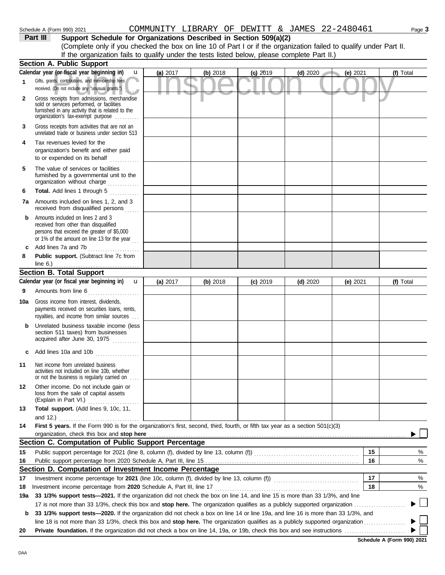| Schedule A (Form 990) 2021 | COMMUNITY LIBRARY OF DEWITT & JAMES 22-2480461                                                                     |  |  |  |  |
|----------------------------|--------------------------------------------------------------------------------------------------------------------|--|--|--|--|
| Part III                   | Support Schedule for Organizations Described in Section 509(a)(2)                                                  |  |  |  |  |
|                            | (Complete only if you checked the box on line 10 of Part I or if the organization failed to qualify under Part II. |  |  |  |  |
|                            | If the organization fails to qualify under the tests listed below, please complete Part II.)                       |  |  |  |  |

|              | <b>Section A. Public Support</b>                                                                                                                                                  |            |          |            |            |          |           |
|--------------|-----------------------------------------------------------------------------------------------------------------------------------------------------------------------------------|------------|----------|------------|------------|----------|-----------|
|              | Calendar year (or fiscal year beginning in)<br>$\mathbf u$                                                                                                                        | (a) 2017   | (b) 2018 | $(c)$ 2019 | $(d)$ 2020 | (e) 2021 | (f) Total |
| 1            | Gifts, grants, contributions, and membership fees<br>received. (Do not include any "unusual grants.")                                                                             |            |          |            |            |          |           |
| $\mathbf{2}$ | Gross receipts from admissions, merchandise<br>sold or services performed, or facilities<br>furnished in any activity that is related to the<br>organization's tax-exempt purpose |            |          |            |            |          |           |
| 3            | Gross receipts from activities that are not an<br>unrelated trade or business under section 513                                                                                   |            |          |            |            |          |           |
| 4            | Tax revenues levied for the<br>organization's benefit and either paid<br>to or expended on its behalf                                                                             |            |          |            |            |          |           |
| 5            | The value of services or facilities<br>furnished by a governmental unit to the<br>organization without charge                                                                     |            |          |            |            |          |           |
| 6            | Total. Add lines 1 through 5<br>.                                                                                                                                                 |            |          |            |            |          |           |
|              | <b>7a</b> Amounts included on lines 1, 2, and 3<br>received from disqualified persons                                                                                             |            |          |            |            |          |           |
| b            | Amounts included on lines 2 and 3<br>received from other than disqualified<br>persons that exceed the greater of \$5,000<br>or 1% of the amount on line 13 for the year           |            |          |            |            |          |           |
| c            | Add lines 7a and 7b                                                                                                                                                               |            |          |            |            |          |           |
| 8            | Public support. (Subtract line 7c from                                                                                                                                            |            |          |            |            |          |           |
|              | line 6.) $\ldots$ $\ldots$ $\ldots$ $\ldots$ $\ldots$ $\ldots$ $\ldots$ $\ldots$<br><b>Section B. Total Support</b>                                                               |            |          |            |            |          |           |
|              | Calendar year (or fiscal year beginning in)<br>u                                                                                                                                  | (a) $2017$ | (b) 2018 | $(c)$ 2019 | (d) $2020$ | (e) 2021 | (f) Total |
| 9            | Amounts from line 6                                                                                                                                                               |            |          |            |            |          |           |
| 10a          | Gross income from interest, dividends,<br>payments received on securities loans, rents,<br>royalties, and income from similar sources                                             |            |          |            |            |          |           |
|              | Unrelated business taxable income (less<br>section 511 taxes) from businesses<br>acquired after June 30, 1975                                                                     |            |          |            |            |          |           |
| c            | Add lines 10a and 10b                                                                                                                                                             |            |          |            |            |          |           |
| 11           | Net income from unrelated business<br>activities not included on line 10b, whether<br>or not the business is regularly carried on                                                 |            |          |            |            |          |           |
| 12           | Other income. Do not include gain or<br>loss from the sale of capital assets<br>(Explain in Part VI.)                                                                             |            |          |            |            |          |           |
| 13           | Total support. (Add lines 9, 10c, 11,                                                                                                                                             |            |          |            |            |          |           |
| 14           | and 12.) $\ldots$<br>First 5 years. If the Form 990 is for the organization's first, second, third, fourth, or fifth tax year as a section 501(c)(3)                              |            |          |            |            |          |           |
|              | organization, check this box and stop here                                                                                                                                        |            |          |            |            |          |           |
|              | Section C. Computation of Public Support Percentage                                                                                                                               |            |          |            |            |          |           |
| 15           |                                                                                                                                                                                   |            |          |            |            | 15       | %         |
| 16           |                                                                                                                                                                                   |            |          |            |            | 16       | %         |
|              | Section D. Computation of Investment Income Percentage                                                                                                                            |            |          |            |            |          |           |
| 17           | Investment income percentage for 2021 (line 10c, column (f), divided by line 13, column (f)) [[[[[[[[[[[[[[[[[                                                                    |            |          |            |            | 17       | %         |
| 18           |                                                                                                                                                                                   |            |          |            |            | 18       | %         |
| 19a          | 33 1/3% support tests-2021. If the organization did not check the box on line 14, and line 15 is more than 33 1/3%, and line                                                      |            |          |            |            |          |           |
|              | 17 is not more than 33 1/3%, check this box and <b>stop here.</b> The organization qualifies as a publicly supported organization                                                 |            |          |            |            |          |           |
| b            | 33 1/3% support tests-2020. If the organization did not check a box on line 14 or line 19a, and line 16 is more than 33 1/3%, and                                                 |            |          |            |            |          |           |
|              |                                                                                                                                                                                   |            |          |            |            |          |           |
| 20           |                                                                                                                                                                                   |            |          |            |            |          |           |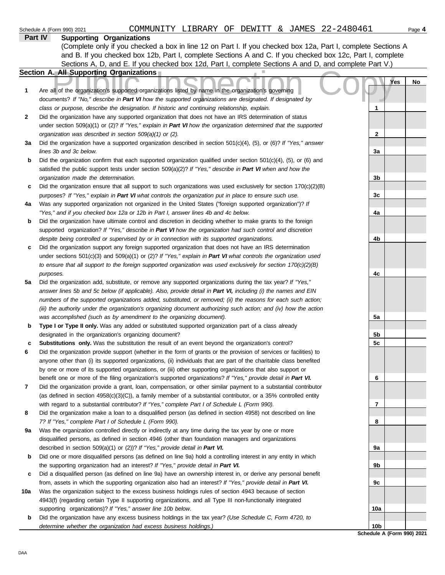| <b>FAIL IV</b> | Supporting Organizations                                                                                                                                                                                                  |                 |     |    |
|----------------|---------------------------------------------------------------------------------------------------------------------------------------------------------------------------------------------------------------------------|-----------------|-----|----|
|                | (Complete only if you checked a box in line 12 on Part I. If you checked box 12a, Part I, complete Sections A                                                                                                             |                 |     |    |
|                | and B. If you checked box 12b, Part I, complete Sections A and C. If you checked box 12c, Part I, complete                                                                                                                |                 |     |    |
|                | Sections A, D, and E. If you checked box 12d, Part I, complete Sections A and D, and complete Part V.)                                                                                                                    |                 |     |    |
|                | Section A. All Supporting Organizations                                                                                                                                                                                   |                 |     |    |
| 1              | Are all of the organization's supported organizations listed by name in the organization's governing                                                                                                                      |                 | Yes | No |
|                | documents? If "No," describe in Part VI how the supported organizations are designated. If designated by                                                                                                                  |                 |     |    |
|                | class or purpose, describe the designation. If historic and continuing relationship, explain.                                                                                                                             | 1               |     |    |
| 2              | Did the organization have any supported organization that does not have an IRS determination of status                                                                                                                    |                 |     |    |
|                | under section 509(a)(1) or (2)? If "Yes," explain in Part VI how the organization determined that the supported                                                                                                           |                 |     |    |
|                | organization was described in section 509(a)(1) or (2).                                                                                                                                                                   | $\mathbf{2}$    |     |    |
| За             | Did the organization have a supported organization described in section $501(c)(4)$ , (5), or (6)? If "Yes," answer                                                                                                       |                 |     |    |
|                | lines 3b and 3c below.                                                                                                                                                                                                    | 3a              |     |    |
| b              | Did the organization confirm that each supported organization qualified under section $501(c)(4)$ , $(5)$ , or $(6)$ and                                                                                                  |                 |     |    |
|                | satisfied the public support tests under section 509(a)(2)? If "Yes," describe in Part VI when and how the                                                                                                                |                 |     |    |
|                | organization made the determination.                                                                                                                                                                                      | 3 <sub>b</sub>  |     |    |
| c              | Did the organization ensure that all support to such organizations was used exclusively for section 170(c)(2)(B)                                                                                                          |                 |     |    |
|                | purposes? If "Yes," explain in Part VI what controls the organization put in place to ensure such use.                                                                                                                    | 3c              |     |    |
| 4a             | Was any supported organization not organized in the United States ("foreign supported organization")? If                                                                                                                  |                 |     |    |
|                | "Yes," and if you checked box 12a or 12b in Part I, answer lines 4b and 4c below.                                                                                                                                         | 4a              |     |    |
| b              | Did the organization have ultimate control and discretion in deciding whether to make grants to the foreign<br>supported organization? If "Yes," describe in Part VI how the organization had such control and discretion |                 |     |    |
|                | despite being controlled or supervised by or in connection with its supported organizations.                                                                                                                              | 4b              |     |    |
| c              | Did the organization support any foreign supported organization that does not have an IRS determination                                                                                                                   |                 |     |    |
|                | under sections $501(c)(3)$ and $509(a)(1)$ or (2)? If "Yes," explain in Part VI what controls the organization used                                                                                                       |                 |     |    |
|                | to ensure that all support to the foreign supported organization was used exclusively for section $170(c)(2)(B)$                                                                                                          |                 |     |    |
|                | purposes.                                                                                                                                                                                                                 | 4c              |     |    |
| 5a             | Did the organization add, substitute, or remove any supported organizations during the tax year? If "Yes,"                                                                                                                |                 |     |    |
|                | answer lines 5b and 5c below (if applicable). Also, provide detail in Part VI, including (i) the names and EIN                                                                                                            |                 |     |    |
|                | numbers of the supported organizations added, substituted, or removed; (ii) the reasons for each such action;                                                                                                             |                 |     |    |
|                | (iii) the authority under the organization's organizing document authorizing such action; and (iv) how the action                                                                                                         |                 |     |    |
|                | was accomplished (such as by amendment to the organizing document).                                                                                                                                                       | 5a              |     |    |
| b              | Type I or Type II only. Was any added or substituted supported organization part of a class already                                                                                                                       |                 |     |    |
|                | designated in the organization's organizing document?                                                                                                                                                                     | 5b              |     |    |
| c              | Substitutions only. Was the substitution the result of an event beyond the organization's control?                                                                                                                        | 5c              |     |    |
| 6              | Did the organization provide support (whether in the form of grants or the provision of services or facilities) to                                                                                                        |                 |     |    |
|                | anyone other than (i) its supported organizations, (ii) individuals that are part of the charitable class benefited                                                                                                       |                 |     |    |
|                | by one or more of its supported organizations, or (iii) other supporting organizations that also support or                                                                                                               |                 |     |    |
|                | benefit one or more of the filing organization's supported organizations? If "Yes," provide detail in Part VI.                                                                                                            | 6               |     |    |
| 7              | Did the organization provide a grant, loan, compensation, or other similar payment to a substantial contributor                                                                                                           |                 |     |    |
|                | (as defined in section $4958(c)(3)(C)$ ), a family member of a substantial contributor, or a 35% controlled entity                                                                                                        |                 |     |    |
|                | with regard to a substantial contributor? If "Yes," complete Part I of Schedule L (Form 990).                                                                                                                             | 7               |     |    |
| 8              | Did the organization make a loan to a disqualified person (as defined in section 4958) not described on line                                                                                                              |                 |     |    |
|                | 7? If "Yes," complete Part I of Schedule L (Form 990).                                                                                                                                                                    | 8               |     |    |
| 9а             | Was the organization controlled directly or indirectly at any time during the tax year by one or more                                                                                                                     |                 |     |    |
|                | disqualified persons, as defined in section 4946 (other than foundation managers and organizations                                                                                                                        |                 |     |    |
|                | described in section 509(a)(1) or (2))? If "Yes," provide detail in Part VI.                                                                                                                                              | 9a              |     |    |
| b              | Did one or more disqualified persons (as defined on line 9a) hold a controlling interest in any entity in which                                                                                                           |                 |     |    |
|                | the supporting organization had an interest? If "Yes," provide detail in Part VI.                                                                                                                                         | 9b              |     |    |
| c              | Did a disqualified person (as defined on line 9a) have an ownership interest in, or derive any personal benefit                                                                                                           |                 |     |    |
|                | from, assets in which the supporting organization also had an interest? If "Yes," provide detail in Part VI.                                                                                                              | 9c              |     |    |
| 10a            | Was the organization subject to the excess business holdings rules of section 4943 because of section                                                                                                                     |                 |     |    |
|                | 4943(f) (regarding certain Type II supporting organizations, and all Type III non-functionally integrated                                                                                                                 |                 |     |    |
| b              | supporting organizations)? If "Yes," answer line 10b below.<br>Did the organization have any excess business holdings in the tax year? (Use Schedule C, Form 4720, to                                                     | 10a             |     |    |
|                | determine whether the organization had excess business holdings.)                                                                                                                                                         | 10 <sub>b</sub> |     |    |
|                |                                                                                                                                                                                                                           |                 |     |    |

**Schedule A (Form 990) 2021**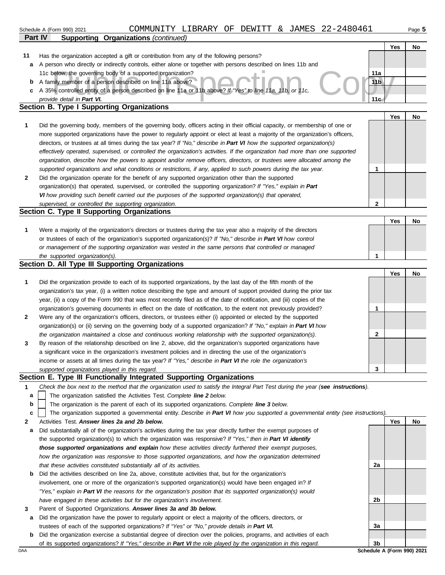|                | COMMUNITY LIBRARY OF DEWITT & JAMES 22-2480461<br>Schedule A (Form 990) 2021                                                      |                 |     | Page 5                     |
|----------------|-----------------------------------------------------------------------------------------------------------------------------------|-----------------|-----|----------------------------|
| <b>Part IV</b> | <b>Supporting Organizations (continued)</b>                                                                                       |                 |     |                            |
|                |                                                                                                                                   |                 | Yes | No                         |
| 11             | Has the organization accepted a gift or contribution from any of the following persons?                                           |                 |     |                            |
| а              | A person who directly or indirectly controls, either alone or together with persons described on lines 11b and                    |                 |     |                            |
|                | 11c below, the governing body of a supported organization?                                                                        | 11a             |     |                            |
| b              | A family member of a person described on line 11a above?                                                                          | 11 <sub>b</sub> |     |                            |
| с              | A 35% controlled entity of a person described on line 11a or 11b above? If "Yes" to line 11a, 11b, or 11c,                        |                 |     |                            |
|                | provide detail in Part VI.                                                                                                        | 11 <sub>c</sub> |     |                            |
|                | Section B. Type I Supporting Organizations                                                                                        |                 |     |                            |
|                |                                                                                                                                   |                 | Yes | No                         |
| 1              | Did the governing body, members of the governing body, officers acting in their official capacity, or membership of one or        |                 |     |                            |
|                | more supported organizations have the power to regularly appoint or elect at least a majority of the organization's officers,     |                 |     |                            |
|                | directors, or trustees at all times during the tax year? If "No," describe in Part VI how the supported organization(s)           |                 |     |                            |
|                | effectively operated, supervised, or controlled the organization's activities. If the organization had more than one supported    |                 |     |                            |
|                | organization, describe how the powers to appoint and/or remove officers, directors, or trustees were allocated among the          |                 |     |                            |
|                | supported organizations and what conditions or restrictions, if any, applied to such powers during the tax year.                  | 1               |     |                            |
| 2              | Did the organization operate for the benefit of any supported organization other than the supported                               |                 |     |                            |
|                | organization(s) that operated, supervised, or controlled the supporting organization? If "Yes," explain in Part                   |                 |     |                            |
|                | VI how providing such benefit carried out the purposes of the supported organization(s) that operated,                            |                 |     |                            |
|                | supervised, or controlled the supporting organization.                                                                            | $\mathbf{2}$    |     |                            |
|                | Section C. Type II Supporting Organizations                                                                                       |                 |     |                            |
|                |                                                                                                                                   |                 | Yes | No                         |
| 1              | Were a majority of the organization's directors or trustees during the tax year also a majority of the directors                  |                 |     |                            |
|                | or trustees of each of the organization's supported organization(s)? If "No," describe in Part VI how control                     |                 |     |                            |
|                | or management of the supporting organization was vested in the same persons that controlled or managed                            | 1               |     |                            |
|                | the supported organization(s).<br>Section D. All Type III Supporting Organizations                                                |                 |     |                            |
|                |                                                                                                                                   |                 | Yes | No                         |
| 1              | Did the organization provide to each of its supported organizations, by the last day of the fifth month of the                    |                 |     |                            |
|                | organization's tax year, (i) a written notice describing the type and amount of support provided during the prior tax             |                 |     |                            |
|                | year, (ii) a copy of the Form 990 that was most recently filed as of the date of notification, and (iii) copies of the            |                 |     |                            |
|                | organization's governing documents in effect on the date of notification, to the extent not previously provided?                  | 1               |     |                            |
| 2              | Were any of the organization's officers, directors, or trustees either (i) appointed or elected by the supported                  |                 |     |                            |
|                | organization(s) or (ii) serving on the governing body of a supported organization? If "No," explain in Part VI how                |                 |     |                            |
|                | the organization maintained a close and continuous working relationship with the supported organization(s).                       | 2               |     |                            |
| 3              | By reason of the relationship described on line 2, above, did the organization's supported organizations have                     |                 |     |                            |
|                | a significant voice in the organization's investment policies and in directing the use of the organization's                      |                 |     |                            |
|                | income or assets at all times during the tax year? If "Yes," describe in Part VI the role the organization's                      |                 |     |                            |
|                | supported organizations played in this regard.                                                                                    | 3               |     |                            |
|                | Section E. Type III Functionally Integrated Supporting Organizations                                                              |                 |     |                            |
| $\mathbf 1$    | Check the box next to the method that the organization used to satisfy the Integral Part Test during the year (see instructions). |                 |     |                            |
| a              | The organization satisfied the Activities Test. Complete line 2 below.                                                            |                 |     |                            |
| b              | The organization is the parent of each of its supported organizations. Complete line 3 below.                                     |                 |     |                            |
| c              | The organization supported a governmental entity. Describe in Part VI how you supported a governmental entity (see instructions). |                 |     |                            |
| 2              | Activities Test. Answer lines 2a and 2b below.                                                                                    |                 | Yes | No                         |
| а              | Did substantially all of the organization's activities during the tax year directly further the exempt purposes of                |                 |     |                            |
|                | the supported organization(s) to which the organization was responsive? If "Yes," then in Part VI identify                        |                 |     |                            |
|                | those supported organizations and explain how these activities directly furthered their exempt purposes,                          |                 |     |                            |
|                | how the organization was responsive to those supported organizations, and how the organization determined                         |                 |     |                            |
|                | that these activities constituted substantially all of its activities.                                                            | 2a              |     |                            |
| b              | Did the activities described on line 2a, above, constitute activities that, but for the organization's                            |                 |     |                            |
|                | involvement, one or more of the organization's supported organization(s) would have been engaged in? If                           |                 |     |                            |
|                | "Yes," explain in Part VI the reasons for the organization's position that its supported organization(s) would                    |                 |     |                            |
|                | have engaged in these activities but for the organization's involvement.                                                          | 2b              |     |                            |
| 3              | Parent of Supported Organizations. Answer lines 3a and 3b below.                                                                  |                 |     |                            |
| а              | Did the organization have the power to regularly appoint or elect a majority of the officers, directors, or                       |                 |     |                            |
|                | trustees of each of the supported organizations? If "Yes" or "No," provide details in Part VI.                                    | За              |     |                            |
| b              | Did the organization exercise a substantial degree of direction over the policies, programs, and activities of each               |                 |     |                            |
|                | of its supported organizations? If "Yes," describe in Part VI the role played by the organization in this regard.                 | 3b              |     |                            |
| DAA            |                                                                                                                                   |                 |     | Schedule A (Form 990) 2021 |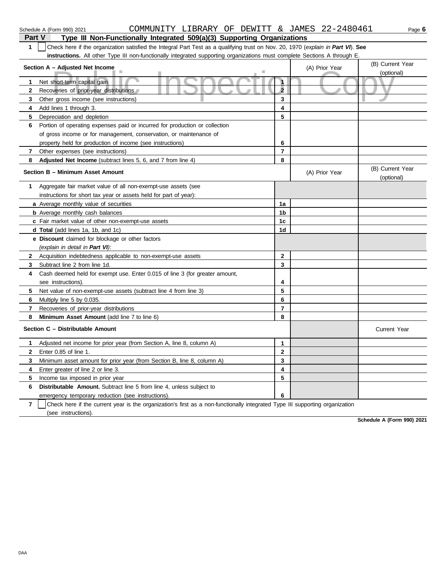|              | Part V<br>Type III Non-Functionally Integrated 509(a)(3) Supporting Organizations                                                |                |                |                                |  |  |  |
|--------------|----------------------------------------------------------------------------------------------------------------------------------|----------------|----------------|--------------------------------|--|--|--|
| $\mathbf{1}$ | Check here if the organization satisfied the Integral Part Test as a qualifying trust on Nov. 20, 1970 (explain in Part VI). See |                |                |                                |  |  |  |
|              | instructions. All other Type III non-functionally integrated supporting organizations must complete Sections A through E.        |                |                |                                |  |  |  |
|              | Section A - Adjusted Net Income                                                                                                  |                | (A) Prior Year | (B) Current Year               |  |  |  |
|              |                                                                                                                                  |                |                | (optional)                     |  |  |  |
| 1            | Net short-term capital gain                                                                                                      |                |                |                                |  |  |  |
| $\mathbf{2}$ | Recoveries of prior-year distributions                                                                                           | $\overline{2}$ |                |                                |  |  |  |
| 3            | Other gross income (see instructions)                                                                                            | 3              |                |                                |  |  |  |
| 4            | Add lines 1 through 3.                                                                                                           | 4              |                |                                |  |  |  |
| 5            | Depreciation and depletion                                                                                                       | 5              |                |                                |  |  |  |
| 6            | Portion of operating expenses paid or incurred for production or collection                                                      |                |                |                                |  |  |  |
|              | of gross income or for management, conservation, or maintenance of                                                               |                |                |                                |  |  |  |
|              | property held for production of income (see instructions)                                                                        | 6              |                |                                |  |  |  |
| 7            | Other expenses (see instructions)                                                                                                | $\overline{7}$ |                |                                |  |  |  |
| 8            | <b>Adjusted Net Income</b> (subtract lines 5, 6, and 7 from line 4)                                                              | 8              |                |                                |  |  |  |
|              | Section B - Minimum Asset Amount                                                                                                 |                | (A) Prior Year | (B) Current Year<br>(optional) |  |  |  |
| 1            | Aggregate fair market value of all non-exempt-use assets (see                                                                    |                |                |                                |  |  |  |
|              | instructions for short tax year or assets held for part of year):                                                                |                |                |                                |  |  |  |
|              | a Average monthly value of securities                                                                                            | 1a             |                |                                |  |  |  |
|              | <b>b</b> Average monthly cash balances                                                                                           | 1b             |                |                                |  |  |  |
|              | c Fair market value of other non-exempt-use assets                                                                               | 1c             |                |                                |  |  |  |
|              | <b>d Total</b> (add lines 1a, 1b, and 1c)                                                                                        | 1d             |                |                                |  |  |  |
|              | e Discount claimed for blockage or other factors                                                                                 |                |                |                                |  |  |  |
|              | (explain in detail in Part VI):                                                                                                  |                |                |                                |  |  |  |
| $\mathbf{2}$ | Acquisition indebtedness applicable to non-exempt-use assets                                                                     | $\mathbf{2}$   |                |                                |  |  |  |
| 3            | Subtract line 2 from line 1d.                                                                                                    | 3              |                |                                |  |  |  |
| 4            | Cash deemed held for exempt use. Enter 0.015 of line 3 (for greater amount,                                                      |                |                |                                |  |  |  |
|              | see instructions).                                                                                                               | 4              |                |                                |  |  |  |
| 5            | Net value of non-exempt-use assets (subtract line 4 from line 3)                                                                 | 5              |                |                                |  |  |  |
| 6            | Multiply line 5 by 0.035.                                                                                                        | 6              |                |                                |  |  |  |
| 7            | Recoveries of prior-year distributions                                                                                           | $\overline{7}$ |                |                                |  |  |  |
| 8            | Minimum Asset Amount (add line 7 to line 6)                                                                                      | 8              |                |                                |  |  |  |
|              | Section C - Distributable Amount                                                                                                 |                |                | <b>Current Year</b>            |  |  |  |
| 1            | Adjusted net income for prior year (from Section A, line 8, column A)                                                            | 1              |                |                                |  |  |  |
| $\mathbf{2}$ | Enter 0.85 of line 1.                                                                                                            | $\mathbf 2$    |                |                                |  |  |  |
| 3            | Minimum asset amount for prior year (from Section B, line 8, column A)                                                           | 3              |                |                                |  |  |  |
| 4            | Enter greater of line 2 or line 3.                                                                                               | 4              |                |                                |  |  |  |
| 5            | Income tax imposed in prior year                                                                                                 | 5              |                |                                |  |  |  |
| 6            | <b>Distributable Amount.</b> Subtract line 5 from line 4, unless subject to                                                      |                |                |                                |  |  |  |
|              | emergency temporary reduction (see instructions).                                                                                | 6              |                |                                |  |  |  |
|              |                                                                                                                                  |                |                |                                |  |  |  |

**7** | Check here if the current year is the organization's first as a non-functionally integrated Type III supporting organization (see instructions).

**Schedule A (Form 990) 2021**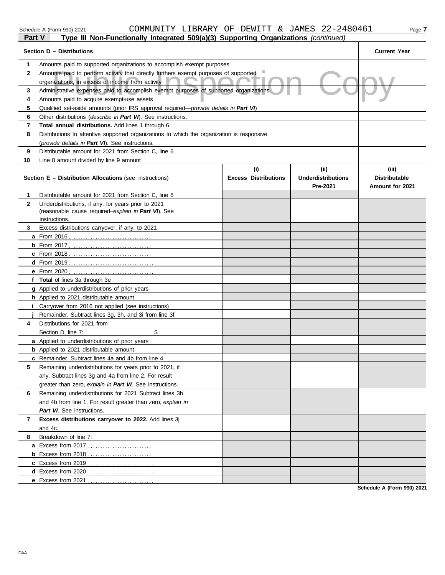#### Schedule A (Form 990) 2021 COMMUNITY LIBRARY OF DEWITT & JAMES 2.2-2.48.0.4.6.1 <sub>Page</sub> 7 COMMUNITY LIBRARY OF DEWITT & JAMES 22-2480461

| Part V       | Type III Non-Functionally Integrated 509(a)(3) Supporting Organizations (continued)                 |                                    |                                   |                               |
|--------------|-----------------------------------------------------------------------------------------------------|------------------------------------|-----------------------------------|-------------------------------|
|              | Section D - Distributions                                                                           |                                    |                                   | <b>Current Year</b>           |
| 1.           | Amounts paid to supported organizations to accomplish exempt purposes                               |                                    |                                   |                               |
| $\mathbf{2}$ | Amounts paid to perform activity that directly furthers exempt purposes of supported                |                                    |                                   |                               |
|              | organizations, in excess of income from activity                                                    |                                    |                                   |                               |
| 3            | Administrative expenses paid to accomplish exempt purposes of supported organizations               |                                    |                                   |                               |
| 4            | Amounts paid to acquire exempt-use assets                                                           |                                    |                                   |                               |
| 5            | Qualified set-aside amounts (prior IRS approval required—provide details in Part VI)                |                                    |                                   |                               |
| 6            | Other distributions (describe in Part VI). See instructions.                                        |                                    |                                   |                               |
| 7            | Total annual distributions. Add lines 1 through 6.                                                  |                                    |                                   |                               |
| 8            | Distributions to attentive supported organizations to which the organization is responsive          |                                    |                                   |                               |
|              | (provide details in Part VI). See instructions.                                                     |                                    |                                   |                               |
| 9            | Distributable amount for 2021 from Section C, line 6                                                |                                    |                                   |                               |
| 10           | Line 8 amount divided by line 9 amount                                                              |                                    |                                   |                               |
|              | <b>Section E - Distribution Allocations (see instructions)</b>                                      | (i)<br><b>Excess Distributions</b> | (ii)<br><b>Underdistributions</b> | (iii)<br><b>Distributable</b> |
|              |                                                                                                     |                                    | Pre-2021                          | Amount for 2021               |
| 1.           | Distributable amount for 2021 from Section C, line 6                                                |                                    |                                   |                               |
| $\mathbf{2}$ | Underdistributions, if any, for years prior to 2021                                                 |                                    |                                   |                               |
|              | (reasonable cause required-explain in Part VI). See                                                 |                                    |                                   |                               |
|              | instructions.                                                                                       |                                    |                                   |                               |
| 3            | Excess distributions carryover, if any, to 2021                                                     |                                    |                                   |                               |
|              |                                                                                                     |                                    |                                   |                               |
|              |                                                                                                     |                                    |                                   |                               |
|              |                                                                                                     |                                    |                                   |                               |
|              |                                                                                                     |                                    |                                   |                               |
|              |                                                                                                     |                                    |                                   |                               |
|              | f Total of lines 3a through 3e                                                                      |                                    |                                   |                               |
|              | <b>g</b> Applied to underdistributions of prior years                                               |                                    |                                   |                               |
|              | <b>h</b> Applied to 2021 distributable amount                                                       |                                    |                                   |                               |
|              | <b>i</b> Carryover from 2016 not applied (see instructions)                                         |                                    |                                   |                               |
|              | Remainder. Subtract lines 3g, 3h, and 3i from line 3f.                                              |                                    |                                   |                               |
| 4            | Distributions for 2021 from                                                                         |                                    |                                   |                               |
|              | \$<br>Section D, line 7:                                                                            |                                    |                                   |                               |
|              | <b>a</b> Applied to underdistributions of prior years                                               |                                    |                                   |                               |
|              | <b>b</b> Applied to 2021 distributable amount<br>c Remainder. Subtract lines 4a and 4b from line 4. |                                    |                                   |                               |
| 5            | Remaining underdistributions for years prior to 2021, if                                            |                                    |                                   |                               |
|              | any. Subtract lines 3g and 4a from line 2. For result                                               |                                    |                                   |                               |
|              | greater than zero, explain in Part VI. See instructions.                                            |                                    |                                   |                               |
| 6            | Remaining underdistributions for 2021 Subtract lines 3h                                             |                                    |                                   |                               |
|              | and 4b from line 1. For result greater than zero, explain in                                        |                                    |                                   |                               |
|              | Part VI. See instructions.                                                                          |                                    |                                   |                               |
| 7            | Excess distributions carryover to 2022. Add lines 3j                                                |                                    |                                   |                               |
|              | and 4c.                                                                                             |                                    |                                   |                               |
| 8            | Breakdown of line 7:                                                                                |                                    |                                   |                               |
|              |                                                                                                     |                                    |                                   |                               |
|              |                                                                                                     |                                    |                                   |                               |
|              |                                                                                                     |                                    |                                   |                               |
|              |                                                                                                     |                                    |                                   |                               |
|              |                                                                                                     |                                    |                                   |                               |

**Schedule A (Form 990) 2021**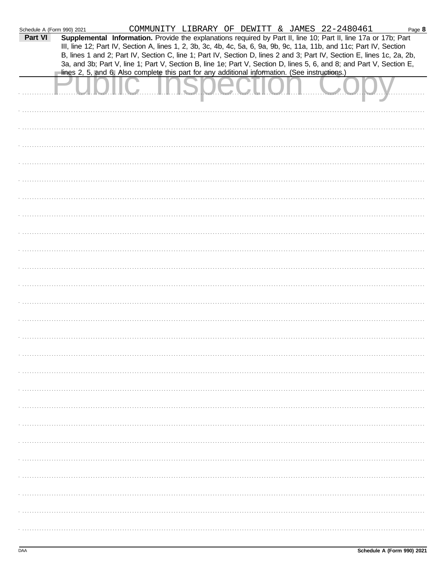| Schedule A (Form 990) 2021 |                                                                                                |  |  | COMMUNITY LIBRARY OF DEWITT & JAMES 22-2480461                                                                                                                                                                                                                                                                                                                    | Page 8 |
|----------------------------|------------------------------------------------------------------------------------------------|--|--|-------------------------------------------------------------------------------------------------------------------------------------------------------------------------------------------------------------------------------------------------------------------------------------------------------------------------------------------------------------------|--------|
| Part VI                    |                                                                                                |  |  | Supplemental Information. Provide the explanations required by Part II, line 10; Part II, line 17a or 17b; Part<br>III, line 12; Part IV, Section A, lines 1, 2, 3b, 3c, 4b, 4c, 5a, 6, 9a, 9b, 9c, 11a, 11b, and 11c; Part IV, Section<br>B, lines 1 and 2; Part IV, Section C, line 1; Part IV, Section D, lines 2 and 3; Part IV, Section E, lines 1c, 2a, 2b, |        |
|                            | lines 2, 5, and 6. Also complete this part for any additional information. (See instructions.) |  |  | 3a, and 3b; Part V, line 1; Part V, Section B, line 1e; Part V, Section D, lines 5, 6, and 8; and Part V, Section E,                                                                                                                                                                                                                                              |        |
|                            |                                                                                                |  |  |                                                                                                                                                                                                                                                                                                                                                                   |        |
|                            |                                                                                                |  |  |                                                                                                                                                                                                                                                                                                                                                                   |        |
|                            |                                                                                                |  |  |                                                                                                                                                                                                                                                                                                                                                                   |        |
|                            |                                                                                                |  |  |                                                                                                                                                                                                                                                                                                                                                                   |        |
|                            |                                                                                                |  |  |                                                                                                                                                                                                                                                                                                                                                                   |        |
|                            |                                                                                                |  |  |                                                                                                                                                                                                                                                                                                                                                                   |        |
|                            |                                                                                                |  |  |                                                                                                                                                                                                                                                                                                                                                                   |        |
|                            |                                                                                                |  |  |                                                                                                                                                                                                                                                                                                                                                                   |        |
|                            |                                                                                                |  |  |                                                                                                                                                                                                                                                                                                                                                                   |        |
|                            |                                                                                                |  |  |                                                                                                                                                                                                                                                                                                                                                                   |        |
|                            |                                                                                                |  |  |                                                                                                                                                                                                                                                                                                                                                                   |        |
|                            |                                                                                                |  |  |                                                                                                                                                                                                                                                                                                                                                                   |        |
|                            |                                                                                                |  |  |                                                                                                                                                                                                                                                                                                                                                                   |        |
|                            |                                                                                                |  |  |                                                                                                                                                                                                                                                                                                                                                                   |        |
|                            |                                                                                                |  |  |                                                                                                                                                                                                                                                                                                                                                                   |        |
|                            |                                                                                                |  |  |                                                                                                                                                                                                                                                                                                                                                                   |        |
|                            |                                                                                                |  |  |                                                                                                                                                                                                                                                                                                                                                                   |        |
|                            |                                                                                                |  |  |                                                                                                                                                                                                                                                                                                                                                                   |        |
|                            |                                                                                                |  |  |                                                                                                                                                                                                                                                                                                                                                                   |        |
|                            |                                                                                                |  |  |                                                                                                                                                                                                                                                                                                                                                                   |        |
|                            |                                                                                                |  |  |                                                                                                                                                                                                                                                                                                                                                                   |        |
|                            |                                                                                                |  |  |                                                                                                                                                                                                                                                                                                                                                                   |        |
|                            |                                                                                                |  |  |                                                                                                                                                                                                                                                                                                                                                                   |        |
|                            |                                                                                                |  |  |                                                                                                                                                                                                                                                                                                                                                                   |        |
|                            |                                                                                                |  |  |                                                                                                                                                                                                                                                                                                                                                                   |        |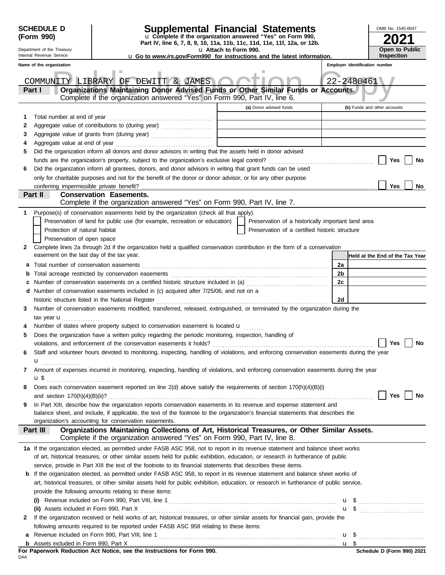|   | <b>SCHEDULE D</b>                         |                                                                                                                |                       | Supplemental Financial Statements                                                                                                         |                | OMB No. 1545-0047               |
|---|-------------------------------------------|----------------------------------------------------------------------------------------------------------------|-----------------------|-------------------------------------------------------------------------------------------------------------------------------------------|----------------|---------------------------------|
|   | (Form 990)                                |                                                                                                                |                       | u Complete if the organization answered "Yes" on Form 990,<br>Part IV, line 6, 7, 8, 9, 10, 11a, 11b, 11c, 11d, 11e, 11f, 12a, or 12b.    |                |                                 |
|   | Department of the Treasury                |                                                                                                                | u Attach to Form 990. |                                                                                                                                           |                | Open to Public                  |
|   | Internal Revenue Service                  |                                                                                                                |                       | <b>u</b> Go to www.irs.gov/Form990 for instructions and the latest information.                                                           |                | Inspection                      |
|   | Name of the organization                  |                                                                                                                |                       |                                                                                                                                           |                | Employer identification number  |
|   |                                           | COMMUNITY LIBRARY OF DEWITT & JAMES                                                                            |                       |                                                                                                                                           |                | 22-2480461                      |
|   | Part I                                    |                                                                                                                |                       | Organizations Maintaining Donor Advised Funds or Other Similar Funds or Accounts.                                                         |                |                                 |
|   |                                           | Complete if the organization answered "Yes" on Form 990, Part IV, line 6.                                      |                       |                                                                                                                                           |                |                                 |
|   |                                           |                                                                                                                |                       | (a) Donor advised funds                                                                                                                   |                | (b) Funds and other accounts    |
| 1 | Total number at end of year               |                                                                                                                |                       |                                                                                                                                           |                |                                 |
| 2 |                                           |                                                                                                                |                       |                                                                                                                                           |                |                                 |
| 3 |                                           |                                                                                                                |                       |                                                                                                                                           |                |                                 |
| 4 |                                           |                                                                                                                |                       |                                                                                                                                           |                |                                 |
| 5 |                                           | Did the organization inform all donors and donor advisors in writing that the assets held in donor advised     |                       |                                                                                                                                           |                |                                 |
|   |                                           |                                                                                                                |                       |                                                                                                                                           |                | Yes<br>No                       |
| 6 |                                           | Did the organization inform all grantees, donors, and donor advisors in writing that grant funds can be used   |                       |                                                                                                                                           |                |                                 |
|   |                                           | only for charitable purposes and not for the benefit of the donor or donor advisor, or for any other purpose   |                       |                                                                                                                                           |                |                                 |
|   | conferring impermissible private benefit? |                                                                                                                |                       |                                                                                                                                           |                | <b>Yes</b><br>No                |
|   | Part II                                   | <b>Conservation Easements.</b><br>Complete if the organization answered "Yes" on Form 990, Part IV, line 7.    |                       |                                                                                                                                           |                |                                 |
|   |                                           | Purpose(s) of conservation easements held by the organization (check all that apply).                          |                       |                                                                                                                                           |                |                                 |
|   |                                           | Preservation of land for public use (for example, recreation or education)                                     |                       | Preservation of a historically important land area                                                                                        |                |                                 |
|   | Protection of natural habitat             |                                                                                                                |                       | Preservation of a certified historic structure                                                                                            |                |                                 |
|   | Preservation of open space                |                                                                                                                |                       |                                                                                                                                           |                |                                 |
| 2 |                                           |                                                                                                                |                       | Complete lines 2a through 2d if the organization held a qualified conservation contribution in the form of a conservation                 |                |                                 |
|   | easement on the last day of the tax year. |                                                                                                                |                       |                                                                                                                                           |                | Held at the End of the Tax Year |
| a |                                           |                                                                                                                |                       |                                                                                                                                           | 2a             |                                 |
|   |                                           |                                                                                                                |                       |                                                                                                                                           | 2 <sub>b</sub> |                                 |
|   |                                           |                                                                                                                |                       |                                                                                                                                           | 2c             |                                 |
|   |                                           | d Number of conservation easements included in (c) acquired after 7/25/06, and not on a                        |                       |                                                                                                                                           |                |                                 |
|   |                                           | historic structure listed in the National Register                                                             |                       |                                                                                                                                           | 2d             |                                 |
| 3 |                                           |                                                                                                                |                       | Number of conservation easements modified, transferred, released, extinguished, or terminated by the organization during the              |                |                                 |
|   | tax year <b>u</b><br><u>.</u>             |                                                                                                                |                       |                                                                                                                                           |                |                                 |
| 4 |                                           | Number of states where property subject to conservation easement is located u                                  |                       |                                                                                                                                           |                |                                 |
| 5 |                                           | Does the organization have a written policy regarding the periodic monitoring, inspection, handling of         |                       |                                                                                                                                           |                |                                 |
|   |                                           |                                                                                                                |                       | Staff and volunteer hours devoted to monitoring, inspecting, handling of violations, and enforcing conservation easements during the year |                | No<br>Yes                       |
|   |                                           |                                                                                                                |                       |                                                                                                                                           |                |                                 |
| 7 | $\mathbf{u}$                              |                                                                                                                |                       | Amount of expenses incurred in monitoring, inspecting, handling of violations, and enforcing conservation easements during the year       |                |                                 |
|   | $\mathbf{u}$ \$                           |                                                                                                                |                       |                                                                                                                                           |                |                                 |
| 8 |                                           |                                                                                                                |                       | Does each conservation easement reported on line 2(d) above satisfy the requirements of section 170(h)(4)(B)(i)                           |                |                                 |
|   |                                           |                                                                                                                |                       |                                                                                                                                           |                | Yes<br>No                       |
| 9 |                                           |                                                                                                                |                       | In Part XIII, describe how the organization reports conservation easements in its revenue and expense statement and                       |                |                                 |
|   |                                           |                                                                                                                |                       | balance sheet, and include, if applicable, the text of the footnote to the organization's financial statements that describes the         |                |                                 |
|   |                                           | organization's accounting for conservation easements.                                                          |                       |                                                                                                                                           |                |                                 |
|   | Part III                                  | Complete if the organization answered "Yes" on Form 990, Part IV, line 8.                                      |                       | Organizations Maintaining Collections of Art, Historical Treasures, or Other Similar Assets.                                              |                |                                 |
|   |                                           |                                                                                                                |                       | 1a If the organization elected, as permitted under FASB ASC 958, not to report in its revenue statement and balance sheet works           |                |                                 |
|   |                                           |                                                                                                                |                       | of art, historical treasures, or other similar assets held for public exhibition, education, or research in furtherance of public         |                |                                 |
|   |                                           | service, provide in Part XIII the text of the footnote to its financial statements that describes these items. |                       |                                                                                                                                           |                |                                 |
| b |                                           |                                                                                                                |                       | If the organization elected, as permitted under FASB ASC 958, to report in its revenue statement and balance sheet works of               |                |                                 |
|   |                                           |                                                                                                                |                       | art, historical treasures, or other similar assets held for public exhibition, education, or research in furtherance of public service,   |                |                                 |
|   |                                           | provide the following amounts relating to these items:                                                         |                       |                                                                                                                                           |                |                                 |
|   |                                           |                                                                                                                |                       |                                                                                                                                           |                |                                 |
|   |                                           |                                                                                                                |                       |                                                                                                                                           |                |                                 |
| 2 |                                           |                                                                                                                |                       | If the organization received or held works of art, historical treasures, or other similar assets for financial gain, provide the          |                |                                 |
|   |                                           | following amounts required to be reported under FASB ASC 958 relating to these items:                          |                       |                                                                                                                                           |                |                                 |
| a |                                           |                                                                                                                |                       |                                                                                                                                           |                |                                 |
|   |                                           |                                                                                                                |                       |                                                                                                                                           |                |                                 |

|     |  |  |  | For Paperwork Reduction Act Notice, see the Instructions for Form 990. |  |  |
|-----|--|--|--|------------------------------------------------------------------------|--|--|
| DAA |  |  |  |                                                                        |  |  |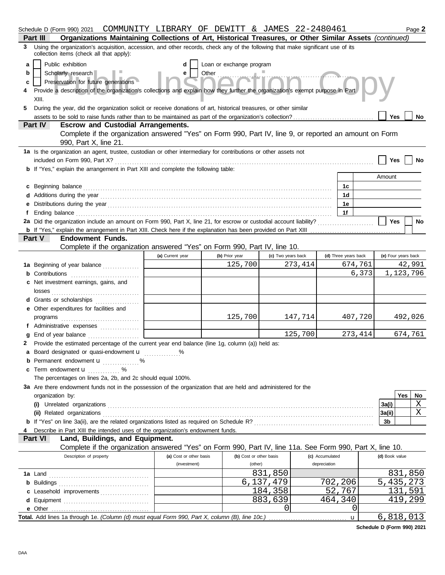|    | Schedule D (Form 990) 2021  COMMUNITY LIBRARY OF DEWITT & JAMES 22-2480461                                                                                                                                                           |                         |                         |                    |                      |              |                     |           | Page 2  |
|----|--------------------------------------------------------------------------------------------------------------------------------------------------------------------------------------------------------------------------------------|-------------------------|-------------------------|--------------------|----------------------|--------------|---------------------|-----------|---------|
|    | Organizations Maintaining Collections of Art, Historical Treasures, or Other Similar Assets (continued)<br>Part III                                                                                                                  |                         |                         |                    |                      |              |                     |           |         |
|    | 3 Using the organization's acquisition, accession, and other records, check any of the following that make significant use of its<br>collection items (check all that apply):                                                        |                         |                         |                    |                      |              |                     |           |         |
| a  | Public exhibition<br>Loan or exchange program<br>d                                                                                                                                                                                   |                         |                         |                    |                      |              |                     |           |         |
| b  | Scholarly research                                                                                                                                                                                                                   | e                       | Other                   |                    |                      |              |                     |           |         |
| c  | Preservation for future generations                                                                                                                                                                                                  |                         |                         |                    |                      |              |                     |           |         |
|    | Provide a description of the organization's collections and explain how they further the organization's exempt purpose in Part                                                                                                       |                         |                         |                    |                      |              |                     |           |         |
|    | XIII.                                                                                                                                                                                                                                |                         |                         |                    |                      |              |                     |           |         |
| 5. | During the year, did the organization solicit or receive donations of art, historical treasures, or other similar                                                                                                                    |                         |                         |                    |                      |              |                     |           |         |
|    |                                                                                                                                                                                                                                      |                         |                         |                    |                      |              | <b>Yes</b>          |           | No      |
|    | Part IV<br><b>Escrow and Custodial Arrangements.</b>                                                                                                                                                                                 |                         |                         |                    |                      |              |                     |           |         |
|    | Complete if the organization answered "Yes" on Form 990, Part IV, line 9, or reported an amount on Form<br>990, Part X, line 21.                                                                                                     |                         |                         |                    |                      |              |                     |           |         |
|    | 1a Is the organization an agent, trustee, custodian or other intermediary for contributions or other assets not                                                                                                                      |                         |                         |                    |                      |              |                     |           |         |
|    | included on Form 990, Part X?                                                                                                                                                                                                        |                         |                         |                    |                      |              | Yes                 |           | No      |
|    | <b>b</b> If "Yes," explain the arrangement in Part XIII and complete the following table:                                                                                                                                            |                         |                         |                    |                      |              |                     |           |         |
|    |                                                                                                                                                                                                                                      |                         |                         |                    |                      |              | Amount              |           |         |
|    | c Beginning balance <b>contract to the contract of the contract of the contract of the contract of the contract of the contract of the contract of the contract of the contract of the contract of the contract of the contract </b> |                         |                         |                    | 1c                   |              |                     |           |         |
|    | Additions during the year manufactured and contact the year manufactured and year and a set of the year manufactured and a set of the year manufactured and set of the year manufactured and set of the year and set of the ye       |                         |                         |                    | 1d                   |              |                     |           |         |
|    |                                                                                                                                                                                                                                      |                         |                         |                    | 1e                   |              |                     |           |         |
|    |                                                                                                                                                                                                                                      |                         |                         |                    | 1f                   |              |                     |           |         |
|    | 2a Did the organization include an amount on Form 990, Part X, line 21, for escrow or custodial account liability?                                                                                                                   |                         |                         |                    |                      |              | <b>Yes</b>          |           | No      |
|    |                                                                                                                                                                                                                                      |                         |                         |                    |                      |              |                     |           |         |
|    | Part V<br><b>Endowment Funds.</b>                                                                                                                                                                                                    |                         |                         |                    |                      |              |                     |           |         |
|    | Complete if the organization answered "Yes" on Form 990, Part IV, line 10.                                                                                                                                                           |                         |                         |                    |                      |              |                     |           |         |
|    |                                                                                                                                                                                                                                      | (a) Current year        | (b) Prior year          | (c) Two years back | (d) Three years back |              | (e) Four years back |           |         |
|    | 1a Beginning of year balance                                                                                                                                                                                                         |                         | 125,700                 | 273,414            |                      | 674,761      |                     |           | 42,991  |
|    | Contributions <b>CONSIDER CONSIDERING CONSIDER</b>                                                                                                                                                                                   |                         |                         |                    |                      | 6,373        |                     | 1,123,796 |         |
|    | c Net investment earnings, gains, and                                                                                                                                                                                                |                         |                         |                    |                      |              |                     |           |         |
|    |                                                                                                                                                                                                                                      |                         |                         |                    |                      |              |                     |           |         |
|    | Grants or scholarships                                                                                                                                                                                                               |                         |                         |                    |                      |              |                     |           |         |
|    | Other expenditures for facilities and                                                                                                                                                                                                |                         |                         |                    |                      |              |                     |           |         |
|    | programs                                                                                                                                                                                                                             |                         | 125,700                 | 147,714            |                      | 407,720      |                     |           | 492,026 |
|    | f Administrative expenses                                                                                                                                                                                                            |                         |                         |                    |                      |              |                     |           |         |
|    | End of year balance                                                                                                                                                                                                                  |                         |                         | 125,700            |                      | 273,414      |                     |           | 674,761 |
| 2  | Provide the estimated percentage of the current year end balance (line 1g, column (a)) held as:                                                                                                                                      |                         |                         |                    |                      |              |                     |           |         |
|    | a Board designated or quasi-endowment <b>u</b>                                                                                                                                                                                       | $\%$                    |                         |                    |                      |              |                     |           |         |
|    | <b>b</b> Permanent endowment <b>u</b> %                                                                                                                                                                                              |                         |                         |                    |                      |              |                     |           |         |
| c  | Term endowment <b>u</b> %                                                                                                                                                                                                            |                         |                         |                    |                      |              |                     |           |         |
|    | The percentages on lines 2a, 2b, and 2c should equal 100%.                                                                                                                                                                           |                         |                         |                    |                      |              |                     |           |         |
|    | 3a Are there endowment funds not in the possession of the organization that are held and administered for the                                                                                                                        |                         |                         |                    |                      |              |                     |           |         |
|    | organization by:                                                                                                                                                                                                                     |                         |                         |                    |                      |              |                     | Yes       | No<br>Χ |
|    |                                                                                                                                                                                                                                      |                         |                         |                    |                      |              | 3a(i)               |           | Χ       |
|    |                                                                                                                                                                                                                                      |                         |                         |                    |                      |              | 3a(ii)<br>3b        |           |         |
|    | Describe in Part XIII the intended uses of the organization's endowment funds.                                                                                                                                                       |                         |                         |                    |                      |              |                     |           |         |
|    | Land, Buildings, and Equipment.<br>Part VI                                                                                                                                                                                           |                         |                         |                    |                      |              |                     |           |         |
|    | Complete if the organization answered "Yes" on Form 990, Part IV, line 11a. See Form 990, Part X, line 10.                                                                                                                           |                         |                         |                    |                      |              |                     |           |         |
|    | Description of property                                                                                                                                                                                                              | (a) Cost or other basis | (b) Cost or other basis |                    | (c) Accumulated      |              | (d) Book value      |           |         |
|    |                                                                                                                                                                                                                                      | (investment)            | (other)                 |                    | depreciation         |              |                     |           |         |
|    |                                                                                                                                                                                                                                      |                         |                         | 831,850            |                      |              |                     | 831,850   |         |
|    |                                                                                                                                                                                                                                      |                         |                         | 6,137,479          | 702,206              |              | 5,435,273           |           |         |
|    | c Leasehold improvements                                                                                                                                                                                                             |                         |                         | 184,358            | 52,767               |              |                     | 131,591   |         |
|    | d Equipment                                                                                                                                                                                                                          |                         |                         | 883,639            | 464,340              |              |                     | 419,299   |         |
|    |                                                                                                                                                                                                                                      |                         |                         | 0                  |                      | 0            |                     |           |         |
|    |                                                                                                                                                                                                                                      |                         |                         |                    |                      | $\mathbf{u}$ | 6,818,013           |           |         |

**Schedule D (Form 990) 2021**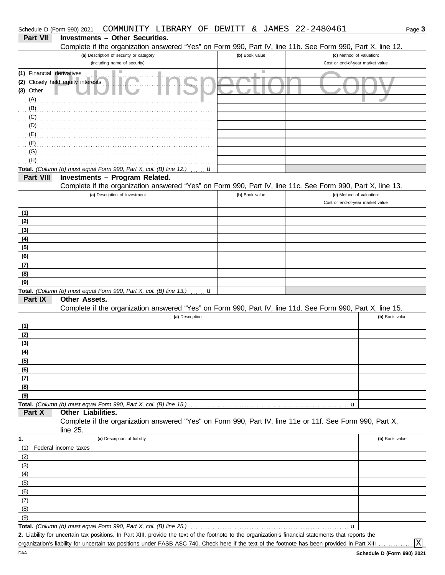|                           | Complete if the organization answered "Yes" on Form 990, Part IV, line 11b. See Form 990, Part X, line 12.                                           |                |                                  |                |
|---------------------------|------------------------------------------------------------------------------------------------------------------------------------------------------|----------------|----------------------------------|----------------|
|                           | (a) Description of security or category                                                                                                              | (b) Book value | (c) Method of valuation:         |                |
|                           | (including name of security)                                                                                                                         |                | Cost or end-of-year market value |                |
| (1) Financial derivatives |                                                                                                                                                      | п              |                                  |                |
| $(3)$ Other $\Box$        | (2) Closely held equity interests                                                                                                                    |                |                                  |                |
| $(A)$ .                   |                                                                                                                                                      |                |                                  |                |
| (B)                       |                                                                                                                                                      |                |                                  |                |
| (C)                       |                                                                                                                                                      |                |                                  |                |
| (D)                       |                                                                                                                                                      |                |                                  |                |
| (E)                       |                                                                                                                                                      |                |                                  |                |
| (F)                       |                                                                                                                                                      |                |                                  |                |
| (G)                       |                                                                                                                                                      |                |                                  |                |
| (H)                       |                                                                                                                                                      |                |                                  |                |
|                           | Total. (Column (b) must equal Form 990, Part X, col. (B) line 12.)<br>u                                                                              |                |                                  |                |
| Part VIII                 | Investments - Program Related.<br>Complete if the organization answered "Yes" on Form 990, Part IV, line 11c. See Form 990, Part X, line 13.         |                |                                  |                |
|                           | (a) Description of investment                                                                                                                        | (b) Book value | (c) Method of valuation:         |                |
|                           |                                                                                                                                                      |                | Cost or end-of-year market value |                |
| (1)                       |                                                                                                                                                      |                |                                  |                |
| (2)                       |                                                                                                                                                      |                |                                  |                |
| (3)                       |                                                                                                                                                      |                |                                  |                |
| (4)                       |                                                                                                                                                      |                |                                  |                |
| (5)                       |                                                                                                                                                      |                |                                  |                |
| (6)                       |                                                                                                                                                      |                |                                  |                |
| (7)                       |                                                                                                                                                      |                |                                  |                |
| (8)                       |                                                                                                                                                      |                |                                  |                |
| (9)                       | Total. (Column (b) must equal Form 990, Part X, col. (B) line 13.)                                                                                   |                |                                  |                |
| Part IX                   | . <b>u</b><br>Other Assets.                                                                                                                          |                |                                  |                |
|                           | Complete if the organization answered "Yes" on Form 990, Part IV, line 11d. See Form 990, Part X, line 15.                                           |                |                                  |                |
|                           | (a) Description                                                                                                                                      |                |                                  | (b) Book value |
| (1)                       |                                                                                                                                                      |                |                                  |                |
| (2)                       |                                                                                                                                                      |                |                                  |                |
| (3)                       |                                                                                                                                                      |                |                                  |                |
| (4)                       |                                                                                                                                                      |                |                                  |                |
| (5)                       |                                                                                                                                                      |                |                                  |                |
| (6)                       |                                                                                                                                                      |                |                                  |                |
| (7)<br>(8)                |                                                                                                                                                      |                |                                  |                |
| (9)                       |                                                                                                                                                      |                |                                  |                |
|                           |                                                                                                                                                      |                | u                                |                |
| Part X                    | Other Liabilities.                                                                                                                                   |                |                                  |                |
|                           | Complete if the organization answered "Yes" on Form 990, Part IV, line 11e or 11f. See Form 990, Part X,                                             |                |                                  |                |
|                           | line $25$ .                                                                                                                                          |                |                                  |                |
| 1.                        | (a) Description of liability                                                                                                                         |                |                                  | (b) Book value |
| (1)                       | Federal income taxes                                                                                                                                 |                |                                  |                |
| (2)                       |                                                                                                                                                      |                |                                  |                |
| (3)                       |                                                                                                                                                      |                |                                  |                |
| (4)<br>(5)                |                                                                                                                                                      |                |                                  |                |
| (6)                       |                                                                                                                                                      |                |                                  |                |
| (7)                       |                                                                                                                                                      |                |                                  |                |
| (8)                       |                                                                                                                                                      |                |                                  |                |
| (9)                       |                                                                                                                                                      |                |                                  |                |
|                           | Total. (Column (b) must equal Form 990, Part X, col. (B) line 25.)                                                                                   |                | u                                |                |
|                           | 2. Lighility for uncertain tay nositions, In Part XIII, provide the text of the footpote to the organization's financial statements that reports the |                |                                  |                |

lity for uncertain tax positions. In Part XIII, provide the text of the footnote to the organization's financial statements that reports the organization's liability for uncertain tax positions under FASB ASC 740. Check here if the text of the footnote has been provided in Part XIII ... **2.**

X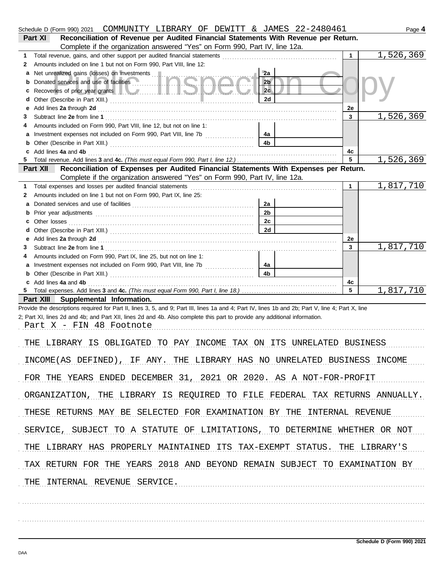|                                                                                                | Schedule D (Form 990) 2021 COMMUNITY LIBRARY OF DEWITT & JAMES 22-2480461                                                                                                                                                                                                        |                      |    | Page 4    |  |
|------------------------------------------------------------------------------------------------|----------------------------------------------------------------------------------------------------------------------------------------------------------------------------------------------------------------------------------------------------------------------------------|----------------------|----|-----------|--|
| Reconciliation of Revenue per Audited Financial Statements With Revenue per Return.<br>Part XI |                                                                                                                                                                                                                                                                                  |                      |    |           |  |
|                                                                                                | Complete if the organization answered "Yes" on Form 990, Part IV, line 12a.                                                                                                                                                                                                      |                      |    |           |  |
| 1.                                                                                             | Total revenue, gains, and other support per audited financial statements                                                                                                                                                                                                         |                      |    | 1,526,369 |  |
| 2                                                                                              | Amounts included on line 1 but not on Form 990, Part VIII, line 12:                                                                                                                                                                                                              |                      |    |           |  |
| а                                                                                              | Net unrealized gains (losses) on investments<br>Donated services and use of facilities                                                                                                                                                                                           | 2a<br>2 <sub>b</sub> |    |           |  |
| b                                                                                              |                                                                                                                                                                                                                                                                                  | 2c                   |    |           |  |
| d                                                                                              |                                                                                                                                                                                                                                                                                  | 2d                   |    |           |  |
| е                                                                                              |                                                                                                                                                                                                                                                                                  |                      | 2e |           |  |
| З                                                                                              |                                                                                                                                                                                                                                                                                  |                      | 3  | 1,526,369 |  |
| 4                                                                                              | Amounts included on Form 990, Part VIII, line 12, but not on line 1:                                                                                                                                                                                                             |                      |    |           |  |
| a                                                                                              | Investment expenses not included on Form 990, Part VIII, line 7b [100] [100] [100] [100] [100] [100] [100] [100] [100] [100] [100] [100] [100] [100] [100] [100] [100] [100] [100] [100] [100] [100] [100] [100] [100] [100] [                                                   | 4a                   |    |           |  |
| b                                                                                              |                                                                                                                                                                                                                                                                                  | 4b                   |    |           |  |
|                                                                                                | Add lines 4a and 4b                                                                                                                                                                                                                                                              |                      | 4c |           |  |
| 5                                                                                              |                                                                                                                                                                                                                                                                                  |                      | 5  | 1,526,369 |  |
|                                                                                                | Reconciliation of Expenses per Audited Financial Statements With Expenses per Return.<br>Part XII                                                                                                                                                                                |                      |    |           |  |
|                                                                                                | Complete if the organization answered "Yes" on Form 990, Part IV, line 12a.                                                                                                                                                                                                      |                      |    |           |  |
| 1.                                                                                             | Amounts included on line 1 but not on Form 990, Part IX, line 25:                                                                                                                                                                                                                |                      | 1  | 1,817,710 |  |
| 2<br>a                                                                                         |                                                                                                                                                                                                                                                                                  | 2a                   |    |           |  |
| b                                                                                              |                                                                                                                                                                                                                                                                                  | 2 <sub>b</sub>       |    |           |  |
| с                                                                                              |                                                                                                                                                                                                                                                                                  | 2c                   |    |           |  |
| d                                                                                              |                                                                                                                                                                                                                                                                                  | 2d                   |    |           |  |
| е                                                                                              | Add lines 2a through 2d [11] Additional Property and Property and Property and Property and Property and Property and Property and Property and Property and Property and Property and Property and Property and Property and                                                    |                      | 2e |           |  |
| 3                                                                                              |                                                                                                                                                                                                                                                                                  |                      | 3  | 1,817,710 |  |
| 4                                                                                              | Amounts included on Form 990, Part IX, line 25, but not on line 1:                                                                                                                                                                                                               |                      |    |           |  |
| a                                                                                              | Investment expenses not included on Form 990, Part VIII, line 7b [                                                                                                                                                                                                               | 4a                   |    |           |  |
| b                                                                                              |                                                                                                                                                                                                                                                                                  | 4b                   |    |           |  |
|                                                                                                | c Add lines 4a and 4b                                                                                                                                                                                                                                                            |                      | 4с |           |  |
| 5                                                                                              |                                                                                                                                                                                                                                                                                  |                      | 5  | 1,817,710 |  |
|                                                                                                | Part XIII Supplemental Information.                                                                                                                                                                                                                                              |                      |    |           |  |
|                                                                                                | Provide the descriptions required for Part II, lines 3, 5, and 9; Part III, lines 1a and 4; Part IV, lines 1b and 2b; Part V, line 4; Part X, line<br>2; Part XI, lines 2d and 4b; and Part XII, lines 2d and 4b. Also complete this part to provide any additional information. |                      |    |           |  |
|                                                                                                | Part X - FIN 48 Footnote                                                                                                                                                                                                                                                         |                      |    |           |  |
|                                                                                                |                                                                                                                                                                                                                                                                                  |                      |    |           |  |
|                                                                                                | THE LIBRARY IS OBLIGATED TO PAY INCOME TAX ON ITS UNRELATED BUSINESS                                                                                                                                                                                                             |                      |    |           |  |
|                                                                                                |                                                                                                                                                                                                                                                                                  |                      |    |           |  |
|                                                                                                | INCOME(AS DEFINED), IF ANY. THE LIBRARY HAS NO UNRELATED BUSINESS INCOME                                                                                                                                                                                                         |                      |    |           |  |
|                                                                                                |                                                                                                                                                                                                                                                                                  |                      |    |           |  |
|                                                                                                | FOR THE YEARS ENDED DECEMBER 31, 2021 OR 2020. AS A NOT-FOR-PROFIT                                                                                                                                                                                                               |                      |    |           |  |
|                                                                                                |                                                                                                                                                                                                                                                                                  |                      |    |           |  |
|                                                                                                | ORGANIZATION, THE LIBRARY IS REQUIRED TO FILE FEDERAL TAX RETURNS ANNUALLY.                                                                                                                                                                                                      |                      |    |           |  |
|                                                                                                |                                                                                                                                                                                                                                                                                  |                      |    |           |  |
|                                                                                                | THESE RETURNS MAY BE SELECTED FOR EXAMINATION BY THE INTERNAL REVENUE                                                                                                                                                                                                            |                      |    |           |  |
|                                                                                                |                                                                                                                                                                                                                                                                                  |                      |    |           |  |
|                                                                                                | SERVICE, SUBJECT TO A STATUTE OF LIMITATIONS, TO DETERMINE WHETHER OR NOT                                                                                                                                                                                                        |                      |    |           |  |
|                                                                                                | THE LIBRARY HAS PROPERLY MAINTAINED ITS TAX-EXEMPT STATUS. THE LIBRARY'S                                                                                                                                                                                                         |                      |    |           |  |
|                                                                                                |                                                                                                                                                                                                                                                                                  |                      |    |           |  |
|                                                                                                | TAX RETURN FOR THE YEARS 2018 AND BEYOND REMAIN SUBJECT TO EXAMINATION BY                                                                                                                                                                                                        |                      |    |           |  |
|                                                                                                |                                                                                                                                                                                                                                                                                  |                      |    |           |  |
|                                                                                                | THE INTERNAL REVENUE SERVICE.                                                                                                                                                                                                                                                    |                      |    |           |  |
|                                                                                                |                                                                                                                                                                                                                                                                                  |                      |    |           |  |
|                                                                                                |                                                                                                                                                                                                                                                                                  |                      |    |           |  |
|                                                                                                |                                                                                                                                                                                                                                                                                  |                      |    |           |  |
|                                                                                                |                                                                                                                                                                                                                                                                                  |                      |    |           |  |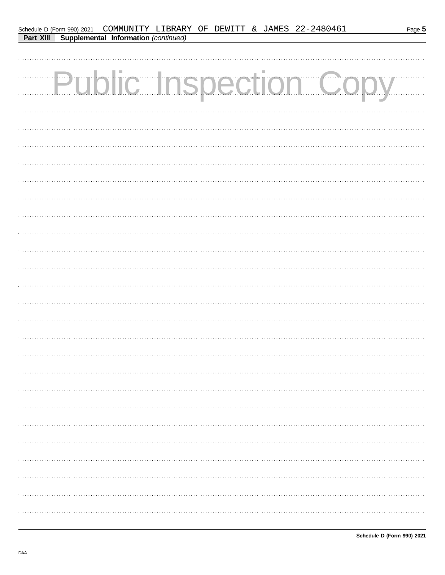| Schedule D (Form 990) 2021 COMMUNITY LIBRARY OF DEWITT & JAMES 22-2480461<br>Supplemental Information (continued)<br>Part XIII | Page 5 |
|--------------------------------------------------------------------------------------------------------------------------------|--------|
| <b>Public Inspection Copy</b>                                                                                                  |        |
|                                                                                                                                |        |
|                                                                                                                                |        |
|                                                                                                                                |        |
|                                                                                                                                |        |
|                                                                                                                                |        |
|                                                                                                                                |        |
|                                                                                                                                |        |
|                                                                                                                                |        |
|                                                                                                                                |        |
|                                                                                                                                |        |
|                                                                                                                                |        |
|                                                                                                                                |        |
|                                                                                                                                |        |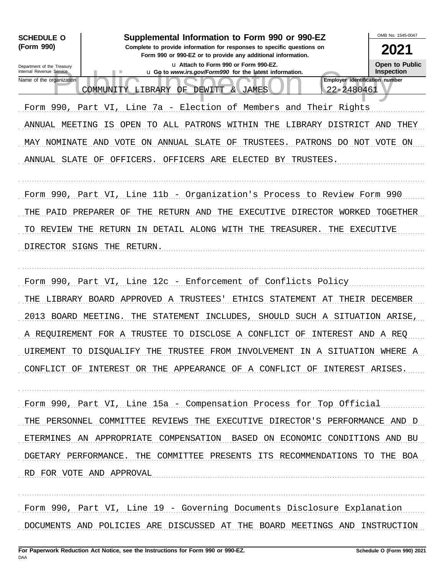

DOCUMENTS AND POLICIES ARE DISCUSSED AT THE BOARD MEETINGS AND INSTRUCTION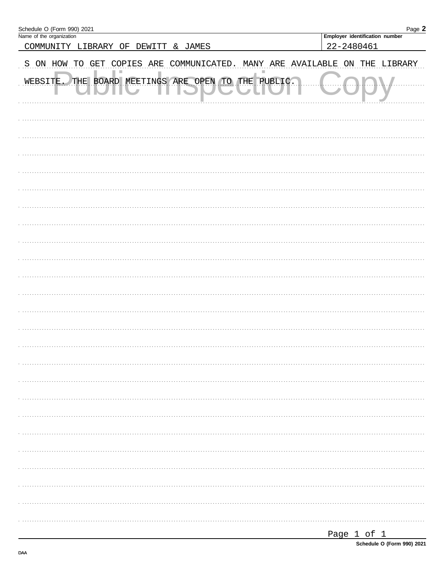| Schedule O (Form 990) 2021<br>Name of the organization                     | Page 2                                |
|----------------------------------------------------------------------------|---------------------------------------|
| COMMUNITY LIBRARY OF DEWITT & JAMES                                        | <b>Employer identification number</b> |
|                                                                            | 22-2480461                            |
| S ON HOW TO GET COPIES ARE COMMUNICATED. MANY ARE AVAILABLE ON THE LIBRARY |                                       |
| THE BOARD MEETINGS ARE OPEN TO THE PUBLIC.<br>WEBSITE.                     |                                       |
|                                                                            |                                       |
|                                                                            |                                       |
|                                                                            |                                       |
|                                                                            |                                       |
|                                                                            |                                       |
|                                                                            |                                       |
|                                                                            |                                       |
|                                                                            |                                       |
|                                                                            |                                       |
|                                                                            |                                       |
|                                                                            |                                       |
|                                                                            |                                       |
|                                                                            |                                       |
|                                                                            |                                       |
|                                                                            |                                       |
|                                                                            |                                       |
|                                                                            |                                       |
|                                                                            |                                       |
|                                                                            |                                       |
|                                                                            |                                       |
|                                                                            |                                       |
|                                                                            |                                       |
|                                                                            |                                       |
|                                                                            |                                       |
|                                                                            |                                       |
|                                                                            |                                       |
|                                                                            |                                       |
|                                                                            |                                       |
|                                                                            |                                       |
|                                                                            |                                       |
|                                                                            |                                       |
|                                                                            |                                       |
|                                                                            |                                       |
|                                                                            | Page 1 of 1                           |